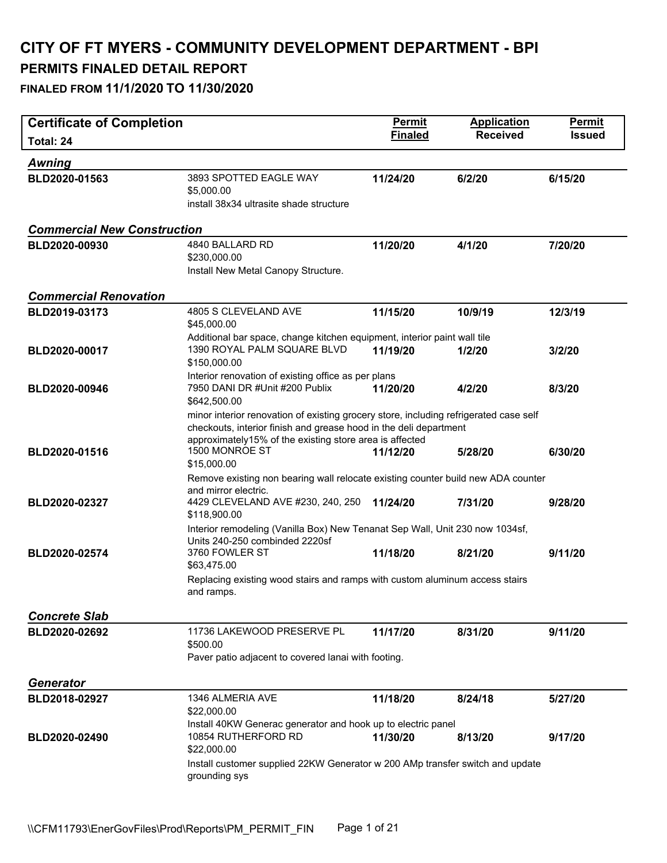| <b>Certificate of Completion</b>   |                                                                                                                                                                                                                                                        | <b>Permit</b>  | <b>Application</b> | Permit        |
|------------------------------------|--------------------------------------------------------------------------------------------------------------------------------------------------------------------------------------------------------------------------------------------------------|----------------|--------------------|---------------|
| Total: 24                          |                                                                                                                                                                                                                                                        | <b>Finaled</b> | <b>Received</b>    | <b>Issued</b> |
| <b>Awning</b>                      |                                                                                                                                                                                                                                                        |                |                    |               |
| BLD2020-01563                      | 3893 SPOTTED EAGLE WAY<br>\$5,000.00<br>install 38x34 ultrasite shade structure                                                                                                                                                                        | 11/24/20       | 6/2/20             | 6/15/20       |
| <b>Commercial New Construction</b> |                                                                                                                                                                                                                                                        |                |                    |               |
| BLD2020-00930                      | 4840 BALLARD RD<br>\$230,000.00<br>Install New Metal Canopy Structure.                                                                                                                                                                                 | 11/20/20       | 4/1/20             | 7/20/20       |
| <b>Commercial Renovation</b>       |                                                                                                                                                                                                                                                        |                |                    |               |
| BLD2019-03173                      | 4805 S CLEVELAND AVE<br>\$45,000.00                                                                                                                                                                                                                    | 11/15/20       | 10/9/19            | 12/3/19       |
| BLD2020-00017                      | Additional bar space, change kitchen equipment, interior paint wall tile<br>1390 ROYAL PALM SQUARE BLVD<br>\$150,000.00                                                                                                                                | 11/19/20       | 1/2/20             | 3/2/20        |
| BLD2020-00946                      | Interior renovation of existing office as per plans<br>7950 DANI DR #Unit #200 Publix<br>\$642,500.00                                                                                                                                                  | 11/20/20       | 4/2/20             | 8/3/20        |
| BLD2020-01516                      | minor interior renovation of existing grocery store, including refrigerated case self<br>checkouts, interior finish and grease hood in the deli department<br>approximately15% of the existing store area is affected<br>1500 MONROE ST<br>\$15,000.00 | 11/12/20       | 5/28/20            | 6/30/20       |
| BLD2020-02327                      | Remove existing non bearing wall relocate existing counter build new ADA counter<br>and mirror electric.<br>4429 CLEVELAND AVE #230, 240, 250<br>\$118,900.00                                                                                          | 11/24/20       | 7/31/20            | 9/28/20       |
| BLD2020-02574                      | Interior remodeling (Vanilla Box) New Tenanat Sep Wall, Unit 230 now 1034sf,<br>Units 240-250 combinded 2220sf<br>3760 FOWLER ST<br>\$63,475.00<br>Replacing existing wood stairs and ramps with custom aluminum access stairs<br>and ramps.           | 11/18/20       | 8/21/20            | 9/11/20       |
| <b>Concrete Slab</b>               |                                                                                                                                                                                                                                                        |                |                    |               |
| BLD2020-02692                      | 11736 LAKEWOOD PRESERVE PL<br>\$500.00<br>Paver patio adjacent to covered lanai with footing.                                                                                                                                                          | 11/17/20       | 8/31/20            | 9/11/20       |
| <b>Generator</b>                   |                                                                                                                                                                                                                                                        |                |                    |               |
| BLD2018-02927                      | 1346 ALMERIA AVE<br>\$22,000.00                                                                                                                                                                                                                        | 11/18/20       | 8/24/18            | 5/27/20       |
| BLD2020-02490                      | Install 40KW Generac generator and hook up to electric panel<br>10854 RUTHERFORD RD<br>\$22,000.00<br>Install customer supplied 22KW Generator w 200 AMp transfer switch and update<br>grounding sys                                                   | 11/30/20       | 8/13/20            | 9/17/20       |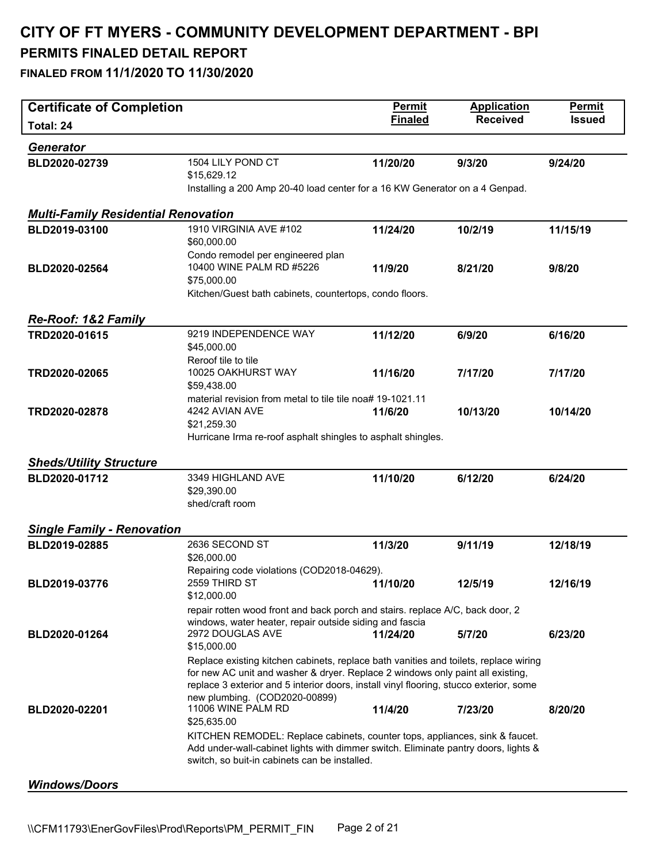| <b>Certificate of Completion</b>           |                                                                                                                                                                        | <b>Permit</b>  | <b>Application</b> | Permit        |
|--------------------------------------------|------------------------------------------------------------------------------------------------------------------------------------------------------------------------|----------------|--------------------|---------------|
| Total: 24                                  |                                                                                                                                                                        | <b>Finaled</b> | <b>Received</b>    | <b>Issued</b> |
| <b>Generator</b>                           |                                                                                                                                                                        |                |                    |               |
| BLD2020-02739                              | 1504 LILY POND CT<br>\$15,629.12                                                                                                                                       | 11/20/20       | 9/3/20             | 9/24/20       |
|                                            | Installing a 200 Amp 20-40 load center for a 16 KW Generator on a 4 Genpad.                                                                                            |                |                    |               |
|                                            |                                                                                                                                                                        |                |                    |               |
| <b>Multi-Family Residential Renovation</b> |                                                                                                                                                                        |                |                    |               |
| BLD2019-03100                              | 1910 VIRGINIA AVE #102<br>\$60,000.00                                                                                                                                  | 11/24/20       | 10/2/19            | 11/15/19      |
|                                            | Condo remodel per engineered plan                                                                                                                                      |                |                    |               |
| BLD2020-02564                              | 10400 WINE PALM RD #5226                                                                                                                                               | 11/9/20        | 8/21/20            | 9/8/20        |
|                                            | \$75,000.00                                                                                                                                                            |                |                    |               |
|                                            | Kitchen/Guest bath cabinets, countertops, condo floors.                                                                                                                |                |                    |               |
| <b>Re-Roof: 1&amp;2 Family</b>             |                                                                                                                                                                        |                |                    |               |
| TRD2020-01615                              | 9219 INDEPENDENCE WAY                                                                                                                                                  | 11/12/20       | 6/9/20             | 6/16/20       |
|                                            | \$45,000.00                                                                                                                                                            |                |                    |               |
|                                            | Reroof tile to tile                                                                                                                                                    |                |                    |               |
| TRD2020-02065                              | 10025 OAKHURST WAY                                                                                                                                                     | 11/16/20       | 7/17/20            | 7/17/20       |
|                                            | \$59,438.00                                                                                                                                                            |                |                    |               |
|                                            | material revision from metal to tile tile noa# 19-1021.11                                                                                                              |                |                    |               |
| TRD2020-02878                              | 4242 AVIAN AVE                                                                                                                                                         | 11/6/20        | 10/13/20           | 10/14/20      |
|                                            | \$21,259.30<br>Hurricane Irma re-roof asphalt shingles to asphalt shingles.                                                                                            |                |                    |               |
|                                            |                                                                                                                                                                        |                |                    |               |
| <b>Sheds/Utility Structure</b>             |                                                                                                                                                                        |                |                    |               |
| BLD2020-01712                              | 3349 HIGHLAND AVE                                                                                                                                                      | 11/10/20       | 6/12/20            | 6/24/20       |
|                                            | \$29,390.00                                                                                                                                                            |                |                    |               |
|                                            | shed/craft room                                                                                                                                                        |                |                    |               |
|                                            |                                                                                                                                                                        |                |                    |               |
| <b>Single Family - Renovation</b>          |                                                                                                                                                                        |                |                    |               |
| BLD2019-02885                              | 2636 SECOND ST                                                                                                                                                         | 11/3/20        | 9/11/19            | 12/18/19      |
|                                            | \$26,000.00<br>Repairing code violations (COD2018-04629).                                                                                                              |                |                    |               |
| BLD2019-03776                              | 2559 THIRD ST                                                                                                                                                          | 11/10/20       | 12/5/19            | 12/16/19      |
|                                            | \$12,000.00                                                                                                                                                            |                |                    |               |
|                                            | repair rotten wood front and back porch and stairs. replace A/C, back door, 2                                                                                          |                |                    |               |
|                                            | windows, water heater, repair outside siding and fascia                                                                                                                |                |                    |               |
| BLD2020-01264                              | 2972 DOUGLAS AVE                                                                                                                                                       | 11/24/20       | 5/7/20             | 6/23/20       |
|                                            | \$15,000.00                                                                                                                                                            |                |                    |               |
|                                            | Replace existing kitchen cabinets, replace bath vanities and toilets, replace wiring<br>for new AC unit and washer & dryer. Replace 2 windows only paint all existing, |                |                    |               |
|                                            | replace 3 exterior and 5 interior doors, install vinyl flooring, stucco exterior, some                                                                                 |                |                    |               |
|                                            | new plumbing. (COD2020-00899)                                                                                                                                          |                |                    |               |
| BLD2020-02201                              | 11006 WINE PALM RD                                                                                                                                                     | 11/4/20        | 7/23/20            | 8/20/20       |
|                                            | \$25,635.00                                                                                                                                                            |                |                    |               |
|                                            | KITCHEN REMODEL: Replace cabinets, counter tops, appliances, sink & faucet.                                                                                            |                |                    |               |
|                                            | Add under-wall-cabinet lights with dimmer switch. Eliminate pantry doors, lights &                                                                                     |                |                    |               |
|                                            | switch, so buit-in cabinets can be installed.                                                                                                                          |                |                    |               |
| <b>Windows/Doors</b>                       |                                                                                                                                                                        |                |                    |               |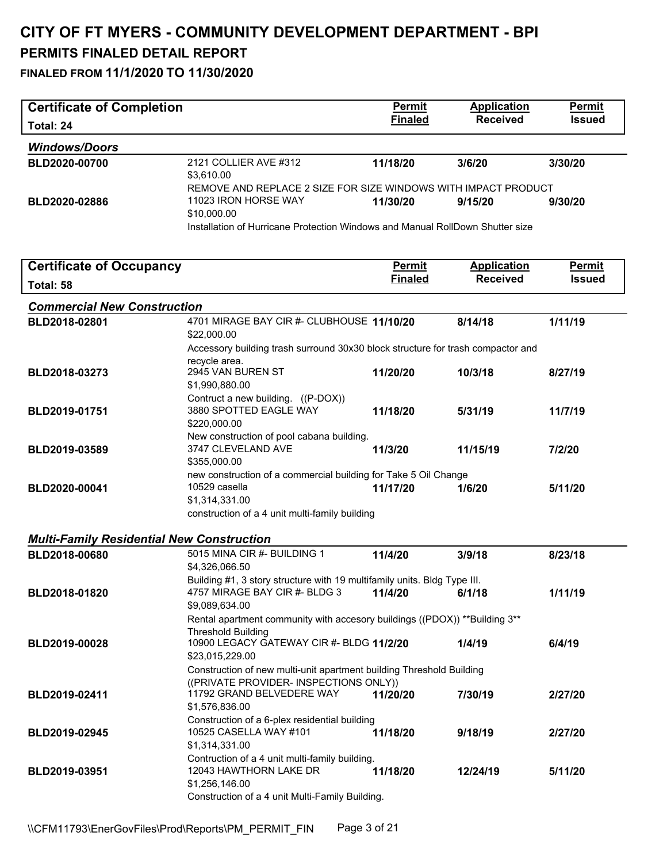# **CITY OF FT MYERS - COMMUNITY DEVELOPMENT DEPARTMENT - BPI**

### **PERMITS FINALED DETAIL REPORT**

| <b>Certificate of Completion</b>                 |                                                                                                                                                      | Permit         | <b>Application</b> | Permit        |
|--------------------------------------------------|------------------------------------------------------------------------------------------------------------------------------------------------------|----------------|--------------------|---------------|
| Total: 24                                        |                                                                                                                                                      | <b>Finaled</b> | <b>Received</b>    | <b>Issued</b> |
| <b>Windows/Doors</b>                             |                                                                                                                                                      |                |                    |               |
| BLD2020-00700                                    | 2121 COLLIER AVE #312<br>\$3,610.00                                                                                                                  | 11/18/20       | 3/6/20             | 3/30/20       |
| BLD2020-02886                                    | REMOVE AND REPLACE 2 SIZE FOR SIZE WINDOWS WITH IMPACT PRODUCT<br>11023 IRON HORSE WAY                                                               | 11/30/20       | 9/15/20            | 9/30/20       |
|                                                  | \$10,000.00<br>Installation of Hurricane Protection Windows and Manual RollDown Shutter size                                                         |                |                    |               |
| <b>Certificate of Occupancy</b>                  |                                                                                                                                                      | <b>Permit</b>  | <b>Application</b> | <b>Permit</b> |
| Total: 58                                        |                                                                                                                                                      | <b>Finaled</b> | <b>Received</b>    | <b>Issued</b> |
| <b>Commercial New Construction</b>               |                                                                                                                                                      |                |                    |               |
| BLD2018-02801                                    | 4701 MIRAGE BAY CIR #- CLUBHOUSE 11/10/20<br>\$22,000.00                                                                                             |                | 8/14/18            | 1/11/19       |
|                                                  | Accessory building trash surround 30x30 block structure for trash compactor and                                                                      |                |                    |               |
| BLD2018-03273                                    | recycle area.<br>2945 VAN BUREN ST<br>\$1,990,880.00                                                                                                 | 11/20/20       | 10/3/18            | 8/27/19       |
| BLD2019-01751                                    | Contruct a new building. ((P-DOX))<br>3880 SPOTTED EAGLE WAY<br>\$220,000.00                                                                         | 11/18/20       | 5/31/19            | 11/7/19       |
| BLD2019-03589                                    | New construction of pool cabana building.<br>3747 CLEVELAND AVE<br>\$355,000.00                                                                      | 11/3/20        | 11/15/19           | 7/2/20        |
| BLD2020-00041                                    | new construction of a commercial building for Take 5 Oil Change<br>10529 casella<br>\$1,314,331.00<br>construction of a 4 unit multi-family building | 11/17/20       | 1/6/20             | 5/11/20       |
| <b>Multi-Family Residential New Construction</b> |                                                                                                                                                      |                |                    |               |
| BLD2018-00680                                    | 5015 MINA CIR #- BUILDING 1<br>\$4,326,066.50                                                                                                        | 11/4/20        | 3/9/18             | 8/23/18       |
| BLD2018-01820                                    | Building #1, 3 story structure with 19 multifamily units. Bldg Type III.<br>4757 MIRAGE BAY CIR #- BLDG 3                                            | 11/4/20        | 6/1/18             | 1/11/19       |
|                                                  | \$9,089,634.00<br>Rental apartment community with accesory buildings ((PDOX)) **Building 3**                                                         |                |                    |               |
| BLD2019-00028                                    | <b>Threshold Building</b><br>10900 LEGACY GATEWAY CIR #- BLDG 11/2/20<br>\$23,015,229.00                                                             |                | 1/4/19             | 6/4/19        |
|                                                  | Construction of new multi-unit apartment building Threshold Building<br>((PRIVATE PROVIDER- INSPECTIONS ONLY))                                       |                |                    |               |
| BLD2019-02411                                    | 11792 GRAND BELVEDERE WAY<br>\$1,576,836.00                                                                                                          | 11/20/20       | 7/30/19            | 2/27/20       |
| BLD2019-02945                                    | Construction of a 6-plex residential building<br>10525 CASELLA WAY #101<br>\$1,314,331.00                                                            | 11/18/20       | 9/18/19            | 2/27/20       |
| BLD2019-03951                                    | Contruction of a 4 unit multi-family building.<br>12043 HAWTHORN LAKE DR<br>\$1,256,146.00<br>Construction of a 4 unit Multi-Family Building.        | 11/18/20       | 12/24/19           | 5/11/20       |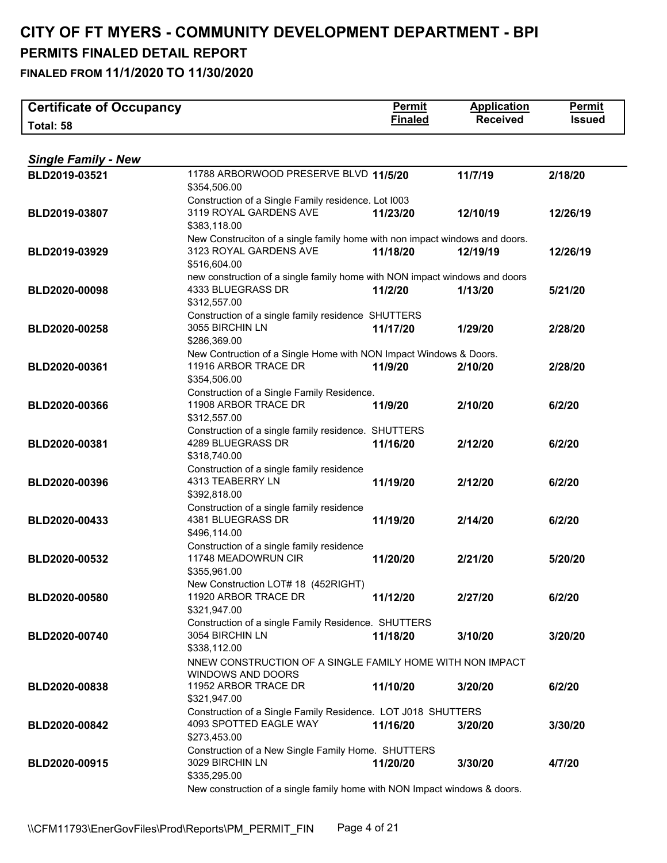| <b>Certificate of Occupancy</b> |                                                                                            | <b>Permit</b>  | <b>Application</b> | Permit        |
|---------------------------------|--------------------------------------------------------------------------------------------|----------------|--------------------|---------------|
| Total: 58                       |                                                                                            | <b>Finaled</b> | <b>Received</b>    | <b>Issued</b> |
|                                 |                                                                                            |                |                    |               |
| <b>Single Family - New</b>      |                                                                                            |                |                    |               |
| BLD2019-03521                   | 11788 ARBORWOOD PRESERVE BLVD 11/5/20                                                      |                | 11/7/19            | 2/18/20       |
|                                 | \$354,506.00                                                                               |                |                    |               |
|                                 | Construction of a Single Family residence. Lot I003                                        |                |                    |               |
| BLD2019-03807                   | 3119 ROYAL GARDENS AVE                                                                     | 11/23/20       | 12/10/19           | 12/26/19      |
|                                 | \$383,118.00                                                                               |                |                    |               |
|                                 | New Construciton of a single family home with non impact windows and doors.                |                |                    |               |
| BLD2019-03929                   | 3123 ROYAL GARDENS AVE                                                                     | 11/18/20       | 12/19/19           | 12/26/19      |
|                                 | \$516,604.00<br>new construction of a single family home with NON impact windows and doors |                |                    |               |
| BLD2020-00098                   | 4333 BLUEGRASS DR                                                                          | 11/2/20        | 1/13/20            | 5/21/20       |
|                                 | \$312,557.00                                                                               |                |                    |               |
|                                 | Construction of a single family residence SHUTTERS                                         |                |                    |               |
| BLD2020-00258                   | 3055 BIRCHIN LN                                                                            | 11/17/20       | 1/29/20            | 2/28/20       |
|                                 | \$286,369.00                                                                               |                |                    |               |
|                                 | New Contruction of a Single Home with NON Impact Windows & Doors.                          |                |                    |               |
| BLD2020-00361                   | 11916 ARBOR TRACE DR                                                                       | 11/9/20        | 2/10/20            | 2/28/20       |
|                                 | \$354,506.00<br>Construction of a Single Family Residence.                                 |                |                    |               |
| BLD2020-00366                   | 11908 ARBOR TRACE DR                                                                       | 11/9/20        | 2/10/20            | 6/2/20        |
|                                 | \$312,557.00                                                                               |                |                    |               |
|                                 | Construction of a single family residence. SHUTTERS                                        |                |                    |               |
| BLD2020-00381                   | 4289 BLUEGRASS DR                                                                          | 11/16/20       | 2/12/20            | 6/2/20        |
|                                 | \$318,740.00                                                                               |                |                    |               |
|                                 | Construction of a single family residence                                                  |                |                    |               |
| BLD2020-00396                   | 4313 TEABERRY LN                                                                           | 11/19/20       | 2/12/20            | 6/2/20        |
|                                 | \$392,818.00<br>Construction of a single family residence                                  |                |                    |               |
| BLD2020-00433                   | 4381 BLUEGRASS DR                                                                          | 11/19/20       | 2/14/20            | 6/2/20        |
|                                 | \$496,114.00                                                                               |                |                    |               |
|                                 | Construction of a single family residence                                                  |                |                    |               |
| BLD2020-00532                   | 11748 MEADOWRUN CIR                                                                        | 11/20/20       | 2/21/20            | 5/20/20       |
|                                 | \$355,961.00                                                                               |                |                    |               |
|                                 | New Construction LOT# 18 (452RIGHT)                                                        |                |                    |               |
| BLD2020-00580                   | 11920 ARBOR TRACE DR                                                                       | 11/12/20       | 2/27/20            | 6/2/20        |
|                                 | \$321,947.00<br>Construction of a single Family Residence. SHUTTERS                        |                |                    |               |
| BLD2020-00740                   | 3054 BIRCHIN LN                                                                            | 11/18/20       | 3/10/20            | 3/20/20       |
|                                 | \$338,112.00                                                                               |                |                    |               |
|                                 | NNEW CONSTRUCTION OF A SINGLE FAMILY HOME WITH NON IMPACT                                  |                |                    |               |
|                                 | <b>WINDOWS AND DOORS</b>                                                                   |                |                    |               |
| BLD2020-00838                   | 11952 ARBOR TRACE DR                                                                       | 11/10/20       | 3/20/20            | 6/2/20        |
|                                 | \$321,947.00                                                                               |                |                    |               |
|                                 | Construction of a Single Family Residence. LOT J018 SHUTTERS<br>4093 SPOTTED EAGLE WAY     |                |                    |               |
| BLD2020-00842                   | \$273,453.00                                                                               | 11/16/20       | 3/20/20            | 3/30/20       |
|                                 | Construction of a New Single Family Home. SHUTTERS                                         |                |                    |               |
| BLD2020-00915                   | 3029 BIRCHIN LN                                                                            | 11/20/20       | 3/30/20            | 4/7/20        |
|                                 | \$335,295.00                                                                               |                |                    |               |
|                                 | New construction of a single family home with NON Impact windows & doors.                  |                |                    |               |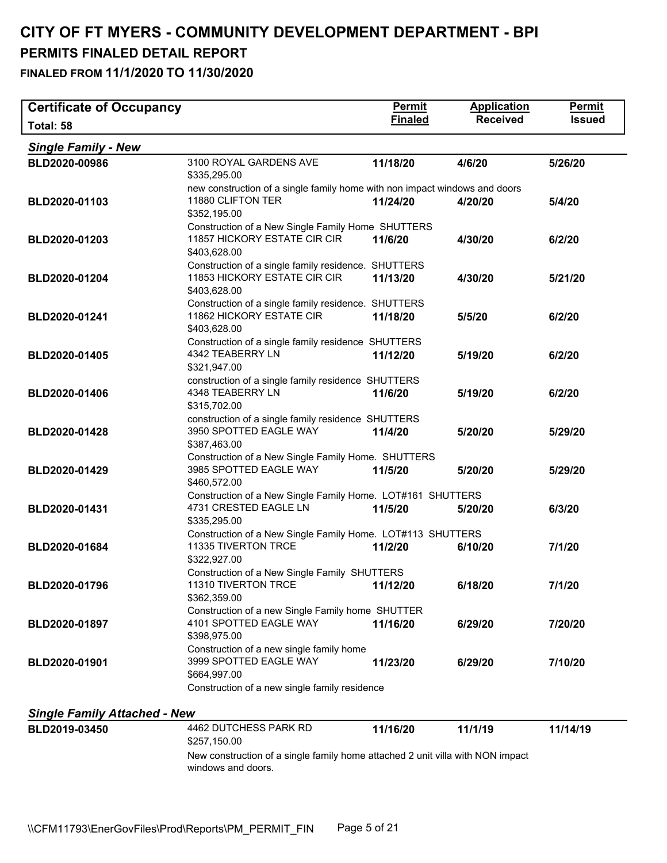| <b>Certificate of Occupancy</b>     |                                                                                                                 | Permit         | <b>Application</b> | <b>Permit</b> |
|-------------------------------------|-----------------------------------------------------------------------------------------------------------------|----------------|--------------------|---------------|
| Total: 58                           |                                                                                                                 | <b>Finaled</b> | <b>Received</b>    | <b>Issued</b> |
| <b>Single Family - New</b>          |                                                                                                                 |                |                    |               |
| BLD2020-00986                       | 3100 ROYAL GARDENS AVE<br>\$335,295.00                                                                          | 11/18/20       | 4/6/20             | 5/26/20       |
| BLD2020-01103                       | new construction of a single family home with non impact windows and doors<br>11880 CLIFTON TER<br>\$352,195.00 | 11/24/20       | 4/20/20            | 5/4/20        |
| BLD2020-01203                       | Construction of a New Single Family Home SHUTTERS<br>11857 HICKORY ESTATE CIR CIR<br>\$403,628.00               | 11/6/20        | 4/30/20            | 6/2/20        |
| BLD2020-01204                       | Construction of a single family residence. SHUTTERS<br>11853 HICKORY ESTATE CIR CIR<br>\$403,628.00             | 11/13/20       | 4/30/20            | 5/21/20       |
| BLD2020-01241                       | Construction of a single family residence. SHUTTERS<br>11862 HICKORY ESTATE CIR<br>\$403,628.00                 | 11/18/20       | 5/5/20             | 6/2/20        |
| BLD2020-01405                       | Construction of a single family residence SHUTTERS<br>4342 TEABERRY LN<br>\$321,947.00                          | 11/12/20       | 5/19/20            | 6/2/20        |
| BLD2020-01406                       | construction of a single family residence SHUTTERS<br>4348 TEABERRY LN<br>\$315,702.00                          | 11/6/20        | 5/19/20            | 6/2/20        |
| BLD2020-01428                       | construction of a single family residence SHUTTERS<br>3950 SPOTTED EAGLE WAY<br>\$387,463.00                    | 11/4/20        | 5/20/20            | 5/29/20       |
| BLD2020-01429                       | Construction of a New Single Family Home. SHUTTERS<br>3985 SPOTTED EAGLE WAY<br>\$460,572.00                    | 11/5/20        | 5/20/20            | 5/29/20       |
| BLD2020-01431                       | Construction of a New Single Family Home. LOT#161 SHUTTERS<br>4731 CRESTED EAGLE LN<br>\$335,295.00             | 11/5/20        | 5/20/20            | 6/3/20        |
| BLD2020-01684                       | Construction of a New Single Family Home. LOT#113 SHUTTERS<br>11335 TIVERTON TRCE<br>\$322,927.00               | 11/2/20        | 6/10/20            | 7/1/20        |
| BLD2020-01796                       | Construction of a New Single Family SHUTTERS<br>11310 TIVERTON TRCE<br>\$362,359.00                             | 11/12/20       | 6/18/20            | 7/1/20        |
| BLD2020-01897                       | Construction of a new Single Family home SHUTTER<br>4101 SPOTTED EAGLE WAY<br>\$398,975.00                      | 11/16/20       | 6/29/20            | 7/20/20       |
| BLD2020-01901                       | Construction of a new single family home<br>3999 SPOTTED EAGLE WAY<br>\$664,997.00                              | 11/23/20       | 6/29/20            | 7/10/20       |
|                                     | Construction of a new single family residence                                                                   |                |                    |               |
| <b>Single Family Attached - New</b> |                                                                                                                 |                |                    |               |
| BLD2019-03450                       | 4462 DUTCHESS PARK RD<br>\$257,150.00                                                                           | 11/16/20       | 11/1/19            | 11/14/19      |
|                                     | New construction of a single family home attached 2 unit villa with NON impact<br>windows and doors.            |                |                    |               |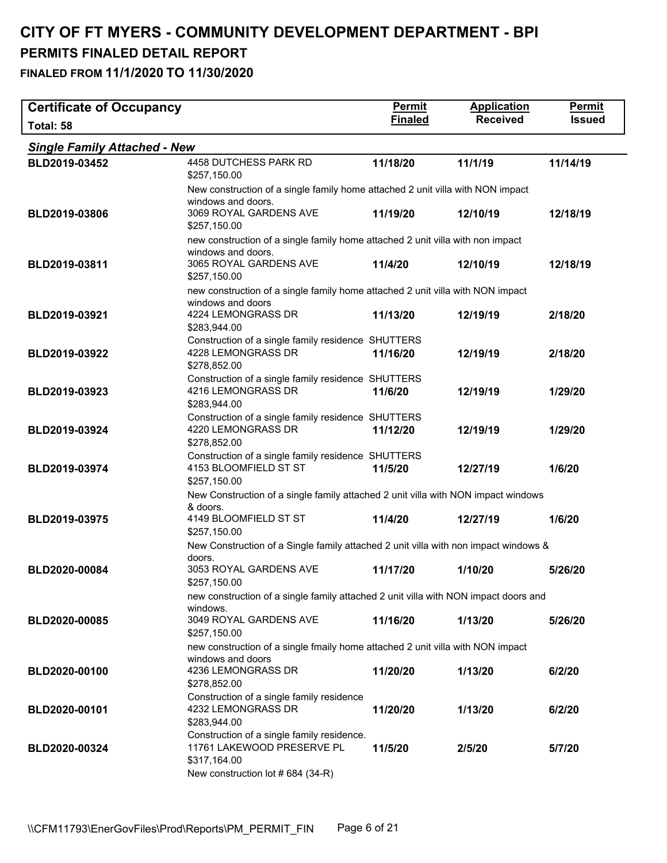| <b>Certificate of Occupancy</b>     |                                                                                             | <b>Permit</b>  | <b>Application</b> | Permit        |
|-------------------------------------|---------------------------------------------------------------------------------------------|----------------|--------------------|---------------|
| Total: 58                           |                                                                                             | <b>Finaled</b> | <b>Received</b>    | <b>Issued</b> |
| <b>Single Family Attached - New</b> |                                                                                             |                |                    |               |
| BLD2019-03452                       | 4458 DUTCHESS PARK RD<br>\$257,150.00                                                       | 11/18/20       | 11/1/19            | 11/14/19      |
|                                     | New construction of a single family home attached 2 unit villa with NON impact              |                |                    |               |
| BLD2019-03806                       | windows and doors.<br>3069 ROYAL GARDENS AVE<br>\$257,150.00                                | 11/19/20       | 12/10/19           | 12/18/19      |
|                                     | new construction of a single family home attached 2 unit villa with non impact              |                |                    |               |
| BLD2019-03811                       | windows and doors.<br>3065 ROYAL GARDENS AVE<br>\$257,150.00                                | 11/4/20        | 12/10/19           | 12/18/19      |
|                                     | new construction of a single family home attached 2 unit villa with NON impact              |                |                    |               |
| BLD2019-03921                       | windows and doors<br>4224 LEMONGRASS DR<br>\$283,944.00                                     | 11/13/20       | 12/19/19           | 2/18/20       |
|                                     | Construction of a single family residence SHUTTERS                                          |                |                    |               |
| BLD2019-03922                       | 4228 LEMONGRASS DR                                                                          | 11/16/20       | 12/19/19           | 2/18/20       |
|                                     | \$278,852.00<br>Construction of a single family residence SHUTTERS                          |                |                    |               |
| BLD2019-03923                       | 4216 LEMONGRASS DR<br>\$283,944.00                                                          | 11/6/20        | 12/19/19           | 1/29/20       |
|                                     | Construction of a single family residence SHUTTERS                                          |                |                    |               |
| BLD2019-03924                       | 4220 LEMONGRASS DR<br>\$278,852.00                                                          | 11/12/20       | 12/19/19           | 1/29/20       |
| BLD2019-03974                       | Construction of a single family residence SHUTTERS<br>4153 BLOOMFIELD ST ST<br>\$257,150.00 | 11/5/20        | 12/27/19           | 1/6/20        |
|                                     | New Construction of a single family attached 2 unit villa with NON impact windows           |                |                    |               |
| BLD2019-03975                       | & doors.<br>4149 BLOOMFIELD ST ST<br>\$257,150.00                                           | 11/4/20        | 12/27/19           | 1/6/20        |
|                                     | New Construction of a Single family attached 2 unit villa with non impact windows &         |                |                    |               |
| BLD2020-00084                       | doors.<br>3053 ROYAL GARDENS AVE<br>\$257,150.00                                            | 11/17/20       | 1/10/20            | 5/26/20       |
|                                     | new construction of a single family attached 2 unit villa with NON impact doors and         |                |                    |               |
| BLD2020-00085                       | windows.<br>3049 ROYAL GARDENS AVE<br>\$257,150.00                                          | 11/16/20       | 1/13/20            | 5/26/20       |
|                                     | new construction of a single fmaily home attached 2 unit villa with NON impact              |                |                    |               |
|                                     | windows and doors                                                                           |                |                    |               |
| BLD2020-00100                       | 4236 LEMONGRASS DR<br>\$278,852.00                                                          | 11/20/20       | 1/13/20            | 6/2/20        |
| BLD2020-00101                       | Construction of a single family residence<br>4232 LEMONGRASS DR<br>\$283,944.00             | 11/20/20       | 1/13/20            | 6/2/20        |
| BLD2020-00324                       | Construction of a single family residence.<br>11761 LAKEWOOD PRESERVE PL<br>\$317,164.00    | 11/5/20        | 2/5/20             | 5/7/20        |
|                                     | New construction lot #684 (34-R)                                                            |                |                    |               |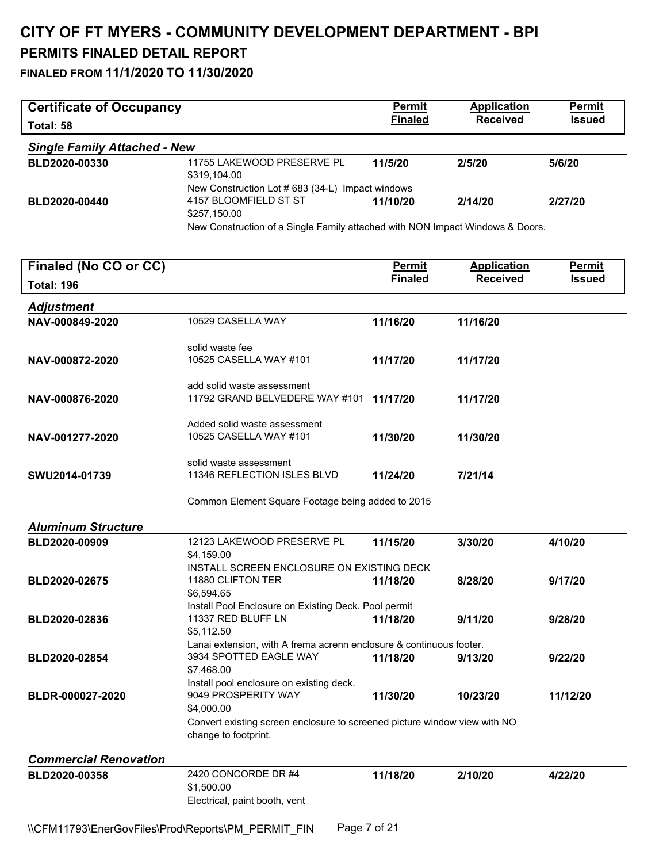| <b>Certificate of Occupancy</b>     |                                                                                                                                                                            | <b>Permit</b>  | <b>Application</b> | <b>Permit</b> |
|-------------------------------------|----------------------------------------------------------------------------------------------------------------------------------------------------------------------------|----------------|--------------------|---------------|
| Total: 58                           |                                                                                                                                                                            | <b>Finaled</b> | <b>Received</b>    | <b>Issued</b> |
| <b>Single Family Attached - New</b> |                                                                                                                                                                            |                |                    |               |
| BLD2020-00330                       | 11755 LAKEWOOD PRESERVE PL<br>\$319.104.00                                                                                                                                 | 11/5/20        | 2/5/20             | 5/6/20        |
| BLD2020-00440                       | New Construction Lot # 683 (34-L) Impact windows<br>4157 BLOOMFIELD ST ST<br>\$257,150.00<br>New Construction of a Single Family attached with NON Impact Windows & Doors. | 11/10/20       | 2/14/20            | 2/27/20       |
| Finaled (No CO or CC)               |                                                                                                                                                                            | <b>Permit</b>  | <b>Application</b> | <u>Permit</u> |
| <b>Total: 196</b>                   |                                                                                                                                                                            | <b>Finaled</b> | <b>Received</b>    | <b>Issued</b> |
| <b>Adjustment</b>                   |                                                                                                                                                                            |                |                    |               |
| NAV-000849-2020                     | 10529 CASELLA WAY                                                                                                                                                          | 11/16/20       | 11/16/20           |               |
|                                     | solid waste fee                                                                                                                                                            |                |                    |               |
| NAV-000872-2020                     | 10525 CASELLA WAY #101                                                                                                                                                     | 11/17/20       | 11/17/20           |               |
| NAV-000876-2020                     | add solid waste assessment<br>11792 GRAND BELVEDERE WAY #101                                                                                                               | 11/17/20       | 11/17/20           |               |
|                                     | Added solid waste assessment                                                                                                                                               |                |                    |               |
| NAV-001277-2020                     | 10525 CASELLA WAY #101                                                                                                                                                     | 11/30/20       | 11/30/20           |               |
| SWU2014-01739                       | solid waste assessment<br>11346 REFLECTION ISLES BLVD                                                                                                                      | 11/24/20       | 7/21/14            |               |
|                                     | Common Element Square Footage being added to 2015                                                                                                                          |                |                    |               |
| <b>Aluminum Structure</b>           |                                                                                                                                                                            |                |                    |               |
| BLD2020-00909                       | 12123 LAKEWOOD PRESERVE PL<br>\$4,159.00                                                                                                                                   | 11/15/20       | 3/30/20            | 4/10/20       |
| BLD2020-02675                       | INSTALL SCREEN ENCLOSURE ON EXISTING DECK<br>11880 CLIFTON TER<br>\$6,594.65                                                                                               | 11/18/20       | 8/28/20            | 9/17/20       |
| BLD2020-02836                       | Install Pool Enclosure on Existing Deck. Pool permit<br>11337 RED BLUFF LN<br>\$5,112.50                                                                                   | 11/18/20       | 9/11/20            | 9/28/20       |
| BLD2020-02854                       | Lanai extension, with A frema acrenn enclosure & continuous footer.<br>3934 SPOTTED EAGLE WAY<br>\$7,468.00                                                                | 11/18/20       | 9/13/20            | 9/22/20       |
| BLDR-000027-2020                    | Install pool enclosure on existing deck.<br>9049 PROSPERITY WAY<br>\$4,000.00                                                                                              | 11/30/20       | 10/23/20           | 11/12/20      |
|                                     | Convert existing screen enclosure to screened picture window view with NO<br>change to footprint.                                                                          |                |                    |               |
| <b>Commercial Renovation</b>        |                                                                                                                                                                            |                |                    |               |
| BLD2020-00358                       | 2420 CONCORDE DR #4<br>\$1,500.00<br>Electrical, paint booth, vent                                                                                                         | 11/18/20       | 2/10/20            | 4/22/20       |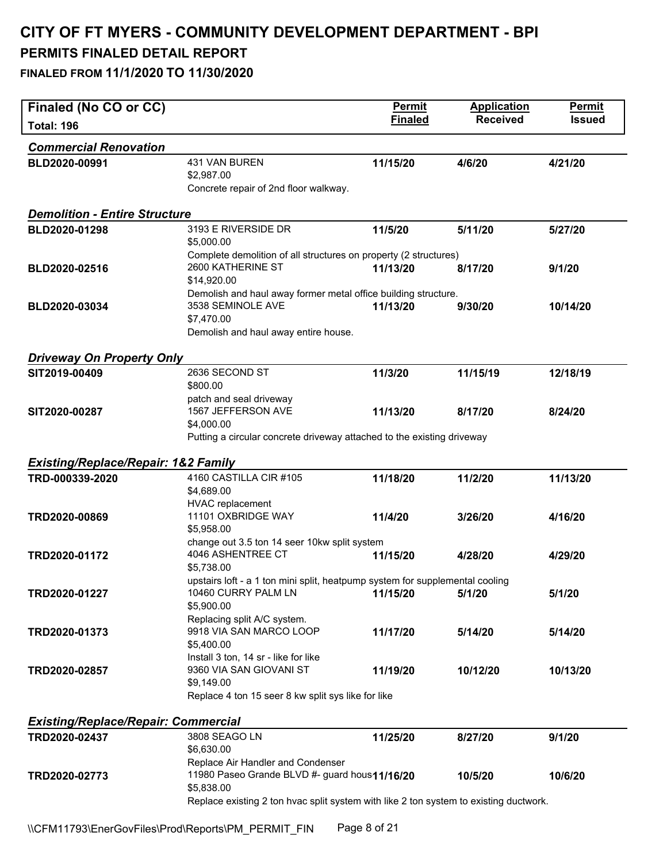| Finaled (No CO or CC)                          |                                                                                                                                           | <b>Permit</b>  | <b>Application</b> | <b>Permit</b> |
|------------------------------------------------|-------------------------------------------------------------------------------------------------------------------------------------------|----------------|--------------------|---------------|
| <b>Total: 196</b>                              |                                                                                                                                           | <b>Finaled</b> | <b>Received</b>    | <b>Issued</b> |
| <b>Commercial Renovation</b>                   |                                                                                                                                           |                |                    |               |
| BLD2020-00991                                  | 431 VAN BUREN<br>\$2,987.00<br>Concrete repair of 2nd floor walkway.                                                                      | 11/15/20       | 4/6/20             | 4/21/20       |
| <b>Demolition - Entire Structure</b>           |                                                                                                                                           |                |                    |               |
| BLD2020-01298                                  | 3193 E RIVERSIDE DR<br>\$5,000.00                                                                                                         | 11/5/20        | 5/11/20            | 5/27/20       |
| BLD2020-02516                                  | Complete demolition of all structures on property (2 structures)<br>2600 KATHERINE ST<br>\$14,920.00                                      | 11/13/20       | 8/17/20            | 9/1/20        |
| BLD2020-03034                                  | Demolish and haul away former metal office building structure.<br>3538 SEMINOLE AVE<br>\$7,470.00<br>Demolish and haul away entire house. | 11/13/20       | 9/30/20            | 10/14/20      |
| <b>Driveway On Property Only</b>               |                                                                                                                                           |                |                    |               |
| SIT2019-00409                                  | 2636 SECOND ST<br>\$800.00                                                                                                                | 11/3/20        | 11/15/19           | 12/18/19      |
| SIT2020-00287                                  | patch and seal driveway<br>1567 JEFFERSON AVE<br>\$4,000.00                                                                               | 11/13/20       | 8/17/20            | 8/24/20       |
| <b>Existing/Replace/Repair: 1&amp;2 Family</b> | Putting a circular concrete driveway attached to the existing driveway                                                                    |                |                    |               |
| TRD-000339-2020                                | 4160 CASTILLA CIR #105<br>\$4,689.00<br>HVAC replacement                                                                                  | 11/18/20       | 11/2/20            | 11/13/20      |
| TRD2020-00869                                  | 11101 OXBRIDGE WAY<br>\$5,958.00                                                                                                          | 11/4/20        | 3/26/20            | 4/16/20       |
| TRD2020-01172                                  | change out 3.5 ton 14 seer 10kw split system<br>4046 ASHENTREE CT<br>\$5,738.00                                                           | 11/15/20       | 4/28/20            | 4/29/20       |
| TRD2020-01227                                  | upstairs loft - a 1 ton mini split, heatpump system for supplemental cooling<br>10460 CURRY PALM LN<br>\$5,900.00                         | 11/15/20       | 5/1/20             | 5/1/20        |
| TRD2020-01373                                  | Replacing split A/C system.<br>9918 VIA SAN MARCO LOOP<br>\$5,400.00                                                                      | 11/17/20       | 5/14/20            | 5/14/20       |
| TRD2020-02857                                  | Install 3 ton, 14 sr - like for like<br>9360 VIA SAN GIOVANI ST<br>\$9,149.00<br>Replace 4 ton 15 seer 8 kw split sys like for like       | 11/19/20       | 10/12/20           | 10/13/20      |
| <b>Existing/Replace/Repair: Commercial</b>     |                                                                                                                                           |                |                    |               |
| TRD2020-02437                                  | 3808 SEAGO LN<br>\$6,630.00                                                                                                               | 11/25/20       | 8/27/20            | 9/1/20        |
| TRD2020-02773                                  | Replace Air Handler and Condenser<br>11980 Paseo Grande BLVD #- guard hous11/16/20<br>\$5,838.00                                          |                | 10/5/20            | 10/6/20       |
|                                                | Replace existing 2 ton hvac split system with like 2 ton system to existing ductwork.                                                     |                |                    |               |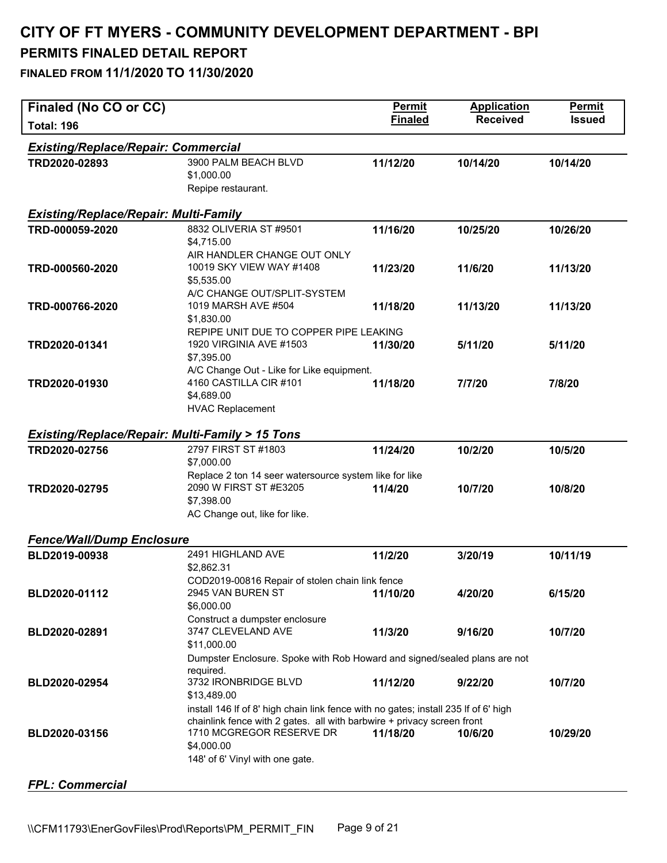| Finaled (No CO or CC)                                     |                                                                                                    | <b>Permit</b>  | <b>Application</b> | Permit        |
|-----------------------------------------------------------|----------------------------------------------------------------------------------------------------|----------------|--------------------|---------------|
| <b>Total: 196</b>                                         |                                                                                                    | <b>Finaled</b> | <b>Received</b>    | <b>Issued</b> |
| <b>Existing/Replace/Repair: Commercial</b>                |                                                                                                    |                |                    |               |
| TRD2020-02893                                             | 3900 PALM BEACH BLVD                                                                               | 11/12/20       | 10/14/20           | 10/14/20      |
|                                                           | \$1,000.00                                                                                         |                |                    |               |
|                                                           | Repipe restaurant.                                                                                 |                |                    |               |
| <b>Existing/Replace/Repair: Multi-Family</b>              |                                                                                                    |                |                    |               |
| TRD-000059-2020                                           | 8832 OLIVERIA ST #9501                                                                             | 11/16/20       | 10/25/20           | 10/26/20      |
|                                                           | \$4,715.00                                                                                         |                |                    |               |
|                                                           | AIR HANDLER CHANGE OUT ONLY                                                                        |                |                    |               |
| TRD-000560-2020                                           | 10019 SKY VIEW WAY #1408                                                                           | 11/23/20       | 11/6/20            | 11/13/20      |
|                                                           | \$5,535.00                                                                                         |                |                    |               |
|                                                           | A/C CHANGE OUT/SPLIT-SYSTEM                                                                        |                |                    |               |
| TRD-000766-2020                                           | 1019 MARSH AVE #504<br>\$1,830.00                                                                  | 11/18/20       | 11/13/20           | 11/13/20      |
|                                                           | REPIPE UNIT DUE TO COPPER PIPE LEAKING                                                             |                |                    |               |
| TRD2020-01341                                             | 1920 VIRGINIA AVE #1503                                                                            | 11/30/20       | 5/11/20            | 5/11/20       |
|                                                           | \$7,395.00                                                                                         |                |                    |               |
|                                                           | A/C Change Out - Like for Like equipment.                                                          |                |                    |               |
| TRD2020-01930                                             | 4160 CASTILLA CIR #101                                                                             | 11/18/20       | 7/7/20             | 7/8/20        |
|                                                           | \$4,689.00                                                                                         |                |                    |               |
|                                                           | <b>HVAC Replacement</b>                                                                            |                |                    |               |
| <b>Existing/Replace/Repair: Multi-Family &gt; 15 Tons</b> |                                                                                                    |                |                    |               |
| TRD2020-02756                                             | 2797 FIRST ST #1803                                                                                | 11/24/20       | 10/2/20            | 10/5/20       |
|                                                           | \$7,000.00                                                                                         |                |                    |               |
|                                                           | Replace 2 ton 14 seer watersource system like for like                                             |                |                    |               |
| TRD2020-02795                                             | 2090 W FIRST ST #E3205                                                                             | 11/4/20        | 10/7/20            | 10/8/20       |
|                                                           | \$7,398.00                                                                                         |                |                    |               |
|                                                           | AC Change out, like for like.                                                                      |                |                    |               |
| <b>Fence/Wall/Dump Enclosure</b>                          |                                                                                                    |                |                    |               |
| BLD2019-00938                                             | 2491 HIGHLAND AVE                                                                                  | 11/2/20        | 3/20/19            | 10/11/19      |
|                                                           | \$2,862.31                                                                                         |                |                    |               |
|                                                           | COD2019-00816 Repair of stolen chain link fence                                                    |                |                    |               |
| BLD2020-01112                                             | 2945 VAN BUREN ST                                                                                  | 11/10/20       | 4/20/20            | 6/15/20       |
|                                                           | \$6,000.00<br>Construct a dumpster enclosure                                                       |                |                    |               |
| BLD2020-02891                                             | 3747 CLEVELAND AVE                                                                                 | 11/3/20        | 9/16/20            | 10/7/20       |
|                                                           | \$11,000.00                                                                                        |                |                    |               |
|                                                           | Dumpster Enclosure. Spoke with Rob Howard and signed/sealed plans are not                          |                |                    |               |
|                                                           | required.                                                                                          |                |                    |               |
| BLD2020-02954                                             | 3732 IRONBRIDGE BLVD                                                                               | 11/12/20       | 9/22/20            | 10/7/20       |
|                                                           | \$13,489.00                                                                                        |                |                    |               |
|                                                           | install 146 If of 8' high chain link fence with no gates; install 235 If of 6' high                |                |                    |               |
| BLD2020-03156                                             | chainlink fence with 2 gates. all with barbwire + privacy screen front<br>1710 MCGREGOR RESERVE DR | 11/18/20       | 10/6/20            | 10/29/20      |
|                                                           | \$4,000.00                                                                                         |                |                    |               |
|                                                           | 148' of 6' Vinyl with one gate.                                                                    |                |                    |               |
|                                                           |                                                                                                    |                |                    |               |
| <b>FPL: Commercial</b>                                    |                                                                                                    |                |                    |               |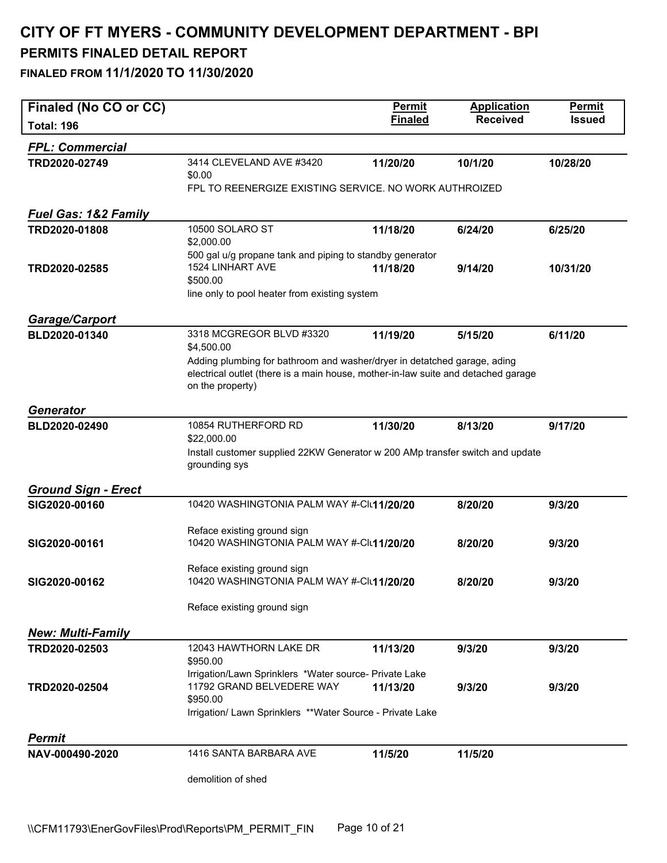| Finaled (No CO or CC)           |                                                                                                                                                                                   | <b>Permit</b>  | <b>Application</b> | Permit        |
|---------------------------------|-----------------------------------------------------------------------------------------------------------------------------------------------------------------------------------|----------------|--------------------|---------------|
| <b>Total: 196</b>               |                                                                                                                                                                                   | <b>Finaled</b> | <b>Received</b>    | <b>Issued</b> |
| <b>FPL: Commercial</b>          |                                                                                                                                                                                   |                |                    |               |
| TRD2020-02749                   | 3414 CLEVELAND AVE #3420<br>\$0.00                                                                                                                                                | 11/20/20       | 10/1/20            | 10/28/20      |
|                                 | FPL TO REENERGIZE EXISTING SERVICE. NO WORK AUTHROIZED                                                                                                                            |                |                    |               |
| <b>Fuel Gas: 1&amp;2 Family</b> |                                                                                                                                                                                   |                |                    |               |
| TRD2020-01808                   | 10500 SOLARO ST<br>\$2,000.00                                                                                                                                                     | 11/18/20       | 6/24/20            | 6/25/20       |
| TRD2020-02585                   | 500 gal u/g propane tank and piping to standby generator<br>1524 LINHART AVE<br>\$500.00                                                                                          | 11/18/20       | 9/14/20            | 10/31/20      |
|                                 | line only to pool heater from existing system                                                                                                                                     |                |                    |               |
| <b>Garage/Carport</b>           |                                                                                                                                                                                   |                |                    |               |
| BLD2020-01340                   | 3318 MCGREGOR BLVD #3320<br>\$4,500.00                                                                                                                                            | 11/19/20       | 5/15/20            | 6/11/20       |
|                                 | Adding plumbing for bathroom and washer/dryer in detatched garage, ading<br>electrical outlet (there is a main house, mother-in-law suite and detached garage<br>on the property) |                |                    |               |
| <b>Generator</b>                |                                                                                                                                                                                   |                |                    |               |
| BLD2020-02490                   | 10854 RUTHERFORD RD<br>\$22,000.00                                                                                                                                                | 11/30/20       | 8/13/20            | 9/17/20       |
|                                 | Install customer supplied 22KW Generator w 200 AMp transfer switch and update<br>grounding sys                                                                                    |                |                    |               |
| <b>Ground Sign - Erect</b>      |                                                                                                                                                                                   |                |                    |               |
| SIG2020-00160                   | 10420 WASHINGTONIA PALM WAY #-Clu11/20/20                                                                                                                                         |                | 8/20/20            | 9/3/20        |
| SIG2020-00161                   | Reface existing ground sign<br>10420 WASHINGTONIA PALM WAY #-Clu11/20/20                                                                                                          |                | 8/20/20            | 9/3/20        |
| SIG2020-00162                   | Reface existing ground sign<br>10420 WASHINGTONIA PALM WAY #-Clu11/20/20                                                                                                          |                | 8/20/20            | 9/3/20        |
|                                 | Reface existing ground sign                                                                                                                                                       |                |                    |               |
| <b>New: Multi-Family</b>        |                                                                                                                                                                                   |                |                    |               |
| TRD2020-02503                   | 12043 HAWTHORN LAKE DR<br>\$950.00                                                                                                                                                | 11/13/20       | 9/3/20             | 9/3/20        |
| TRD2020-02504                   | Irrigation/Lawn Sprinklers *Water source- Private Lake<br>11792 GRAND BELVEDERE WAY<br>\$950.00<br>Irrigation/ Lawn Sprinklers **Water Source - Private Lake                      | 11/13/20       | 9/3/20             | 9/3/20        |
| Permit                          |                                                                                                                                                                                   |                |                    |               |
| NAV-000490-2020                 | 1416 SANTA BARBARA AVE                                                                                                                                                            | 11/5/20        | 11/5/20            |               |
|                                 | demolition of shed                                                                                                                                                                |                |                    |               |
|                                 |                                                                                                                                                                                   |                |                    |               |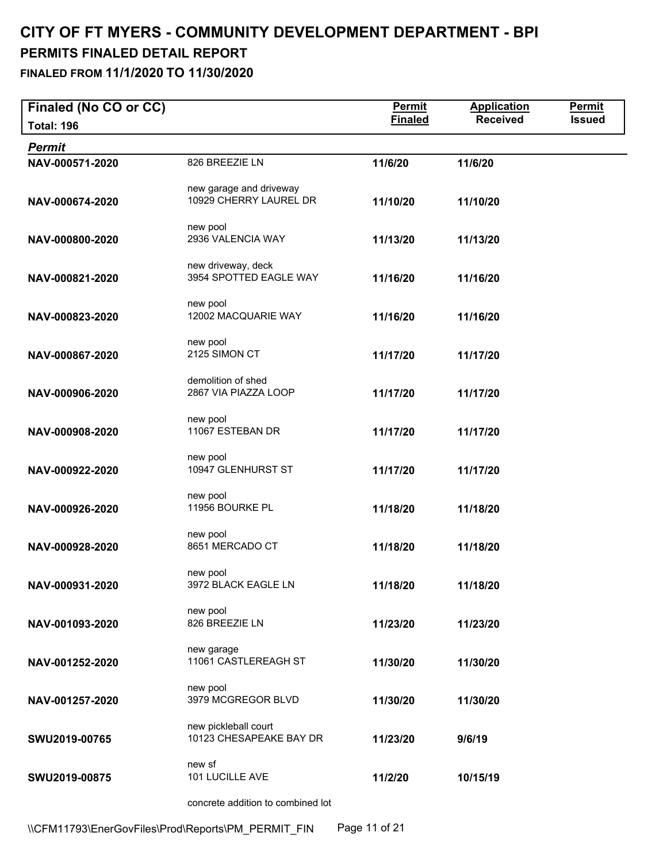**Finaled (No CO or CC)**<br> **Finaled** Permit Application Permit<br> **Finaled** Received Issued **Total: 196 Finaled Received Issued**  *Permit*  **NAV-000571-2020** 826 BREEZIE LN **11/6/20 11/6/20**  new garage and driveway **NAV-000674-2020** 10929 CHERRY LAUREL DR **11/10/20 11/10/20**  new pool **NAV-000800-2020** 2936 VALENCIA WAY **11/13/20 11/13/20**  new driveway, deck **NAV-000821-2020** 3954 SPOTTED EAGLE WAY **11/16/20 11/16/20**  new pool **NAV-000823-2020** 12002 MACQUARIE WAY **11/16/20 11/16/20**  new pool **NAV-000867-2020** 2125 SIMON CT **11/17/20 11/17/20**  demolition of shed **NAV-000906-2020** 2867 VIA PIAZZA LOOP **11/17/20 11/17/20**  new pool **NAV-000908-2020** 11067 ESTEBAN DR **11/17/20 11/17/20**  new pool **NAV-000922-2020** 10947 GLENHURST ST **11/17/20 11/17/20**  new pool **NAV-000926-2020** 11956 BOURKE PL **11/18/20 11/18/20**  new pool **NAV-000928-2020** 8651 MERCADO CT **11/18/20 11/18/20**  new pool **NAV-000931-2020** 3972 BLACK EAGLE LN **11/18/20 11/18/20**  new pool **NAV-001093-2020** 826 BREEZIE LN **11/23/20 11/23/20**  new garage **NAV-001252-2020** 11061 CASTLEREAGH ST **11/30/20 11/30/20**  new pool **NAV-001257-2020** 3979 MCGREGOR BLVD **11/30/20 11/30/20**  new pickleball court **SWU2019-00765** 10123 CHESAPEAKE BAY DR **11/23/20 9/6/19**  new sf **SWU2019-00875** 101 LUCILLE AVE **11/2/20 10/15/19**  concrete addition to combined lot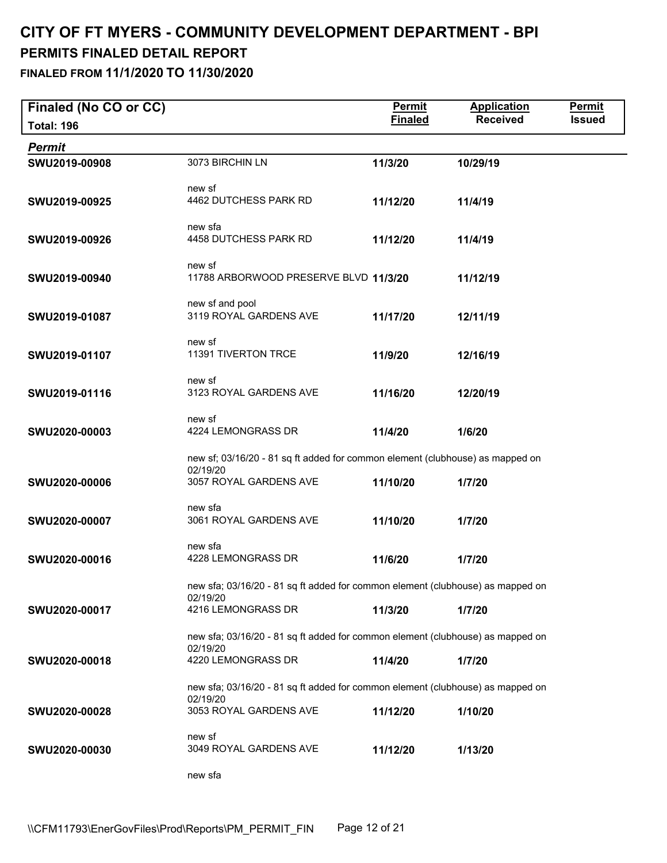| Finaled (No CO or CC) |                                                                                            | <b>Permit</b>  | <b>Application</b> | <b>Permit</b> |
|-----------------------|--------------------------------------------------------------------------------------------|----------------|--------------------|---------------|
| <b>Total: 196</b>     |                                                                                            | <b>Finaled</b> | <b>Received</b>    | <b>Issued</b> |
| <b>Permit</b>         |                                                                                            |                |                    |               |
| SWU2019-00908         | 3073 BIRCHIN LN                                                                            | 11/3/20        | 10/29/19           |               |
|                       | new sf                                                                                     |                |                    |               |
| SWU2019-00925         | 4462 DUTCHESS PARK RD                                                                      | 11/12/20       | 11/4/19            |               |
|                       |                                                                                            |                |                    |               |
| SWU2019-00926         | new sfa<br>4458 DUTCHESS PARK RD                                                           | 11/12/20       | 11/4/19            |               |
|                       |                                                                                            |                |                    |               |
| SWU2019-00940         | new sf<br>11788 ARBORWOOD PRESERVE BLVD 11/3/20                                            |                | 11/12/19           |               |
|                       |                                                                                            |                |                    |               |
|                       | new sf and pool                                                                            |                |                    |               |
| SWU2019-01087         | 3119 ROYAL GARDENS AVE                                                                     | 11/17/20       | 12/11/19           |               |
|                       | new sf                                                                                     |                |                    |               |
| SWU2019-01107         | 11391 TIVERTON TRCE                                                                        | 11/9/20        | 12/16/19           |               |
|                       | new sf                                                                                     |                |                    |               |
| SWU2019-01116         | 3123 ROYAL GARDENS AVE                                                                     | 11/16/20       | 12/20/19           |               |
|                       | new sf                                                                                     |                |                    |               |
| SWU2020-00003         | 4224 LEMONGRASS DR                                                                         | 11/4/20        | 1/6/20             |               |
|                       |                                                                                            |                |                    |               |
|                       | new sf; 03/16/20 - 81 sq ft added for common element (clubhouse) as mapped on<br>02/19/20  |                |                    |               |
| SWU2020-00006         | 3057 ROYAL GARDENS AVE                                                                     | 11/10/20       | 1/7/20             |               |
|                       | new sfa                                                                                    |                |                    |               |
| SWU2020-00007         | 3061 ROYAL GARDENS AVE                                                                     | 11/10/20       | 1/7/20             |               |
|                       |                                                                                            |                |                    |               |
| SWU2020-00016         | new sfa<br>4228 LEMONGRASS DR                                                              | 11/6/20        | 1/7/20             |               |
|                       |                                                                                            |                |                    |               |
|                       | new sfa; 03/16/20 - 81 sq ft added for common element (clubhouse) as mapped on<br>02/19/20 |                |                    |               |
| SWU2020-00017         | 4216 LEMONGRASS DR                                                                         | 11/3/20        | 1/7/20             |               |
|                       | new sfa; 03/16/20 - 81 sq ft added for common element (clubhouse) as mapped on             |                |                    |               |
|                       | 02/19/20                                                                                   |                |                    |               |
| SWU2020-00018         | 4220 LEMONGRASS DR                                                                         | 11/4/20        | 1/7/20             |               |
|                       | new sfa; 03/16/20 - 81 sq ft added for common element (clubhouse) as mapped on             |                |                    |               |
|                       | 02/19/20                                                                                   |                |                    |               |
| SWU2020-00028         | 3053 ROYAL GARDENS AVE                                                                     | 11/12/20       | 1/10/20            |               |
|                       | new sf                                                                                     |                |                    |               |
| SWU2020-00030         | 3049 ROYAL GARDENS AVE                                                                     | 11/12/20       | 1/13/20            |               |
|                       | new sfa                                                                                    |                |                    |               |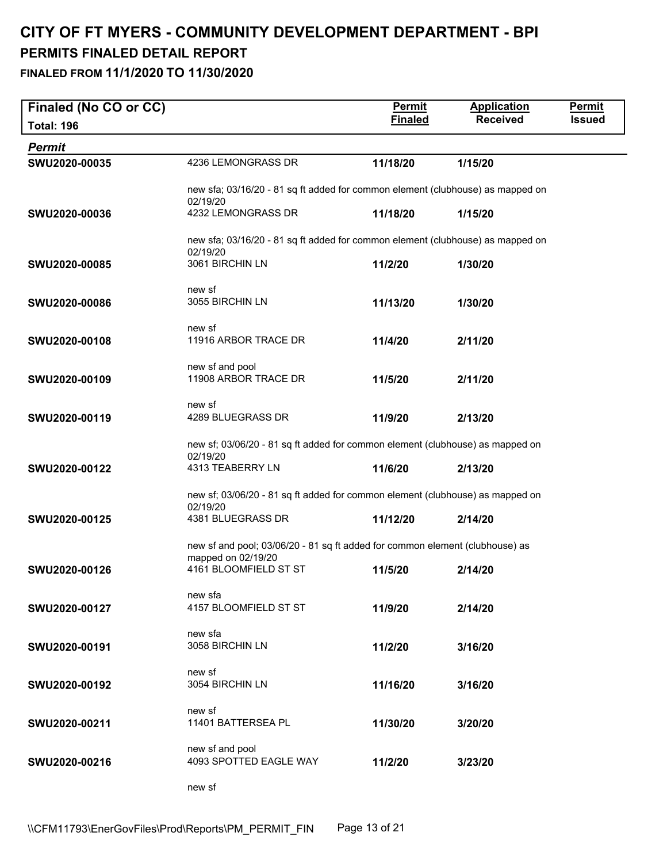| Finaled (No CO or CC) |                                                                                           | <b>Permit</b>  | <b>Application</b> | <b>Permit</b> |
|-----------------------|-------------------------------------------------------------------------------------------|----------------|--------------------|---------------|
| <b>Total: 196</b>     |                                                                                           | <b>Finaled</b> | <b>Received</b>    | <b>Issued</b> |
| <b>Permit</b>         |                                                                                           |                |                    |               |
| SWU2020-00035         | 4236 LEMONGRASS DR                                                                        | 11/18/20       | 1/15/20            |               |
|                       | new sfa; 03/16/20 - 81 sq ft added for common element (clubhouse) as mapped on            |                |                    |               |
|                       | 02/19/20                                                                                  |                |                    |               |
| SWU2020-00036         | 4232 LEMONGRASS DR                                                                        | 11/18/20       | 1/15/20            |               |
|                       | new sfa; 03/16/20 - 81 sq ft added for common element (clubhouse) as mapped on            |                |                    |               |
| SWU2020-00085         | 02/19/20<br>3061 BIRCHIN LN                                                               | 11/2/20        | 1/30/20            |               |
|                       |                                                                                           |                |                    |               |
|                       | new sf                                                                                    |                |                    |               |
| SWU2020-00086         | 3055 BIRCHIN LN                                                                           | 11/13/20       | 1/30/20            |               |
|                       | new sf                                                                                    |                |                    |               |
| SWU2020-00108         | 11916 ARBOR TRACE DR                                                                      | 11/4/20        | 2/11/20            |               |
|                       | new sf and pool                                                                           |                |                    |               |
| SWU2020-00109         | 11908 ARBOR TRACE DR                                                                      | 11/5/20        | 2/11/20            |               |
|                       |                                                                                           |                |                    |               |
| SWU2020-00119         | new sf<br>4289 BLUEGRASS DR                                                               | 11/9/20        | 2/13/20            |               |
|                       |                                                                                           |                |                    |               |
|                       | new sf; 03/06/20 - 81 sq ft added for common element (clubhouse) as mapped on<br>02/19/20 |                |                    |               |
| SWU2020-00122         | 4313 TEABERRY LN                                                                          | 11/6/20        | 2/13/20            |               |
|                       | new sf; 03/06/20 - 81 sq ft added for common element (clubhouse) as mapped on             |                |                    |               |
|                       | 02/19/20                                                                                  |                |                    |               |
| SWU2020-00125         | 4381 BLUEGRASS DR                                                                         | 11/12/20       | 2/14/20            |               |
|                       | new sf and pool; 03/06/20 - 81 sq ft added for common element (clubhouse) as              |                |                    |               |
|                       | mapped on 02/19/20                                                                        |                |                    |               |
| SWU2020-00126         | 4161 BLOOMFIELD ST ST                                                                     | 11/5/20        | 2/14/20            |               |
|                       | new sfa                                                                                   |                |                    |               |
| SWU2020-00127         | 4157 BLOOMFIELD ST ST                                                                     | 11/9/20        | 2/14/20            |               |
|                       | new sfa                                                                                   |                |                    |               |
| SWU2020-00191         | 3058 BIRCHIN LN                                                                           | 11/2/20        | 3/16/20            |               |
|                       | new sf                                                                                    |                |                    |               |
| SWU2020-00192         | 3054 BIRCHIN LN                                                                           | 11/16/20       | 3/16/20            |               |
|                       |                                                                                           |                |                    |               |
| SWU2020-00211         | new sf<br>11401 BATTERSEA PL                                                              | 11/30/20       | 3/20/20            |               |
|                       |                                                                                           |                |                    |               |
|                       | new sf and pool                                                                           |                |                    |               |
| SWU2020-00216         | 4093 SPOTTED EAGLE WAY                                                                    | 11/2/20        | 3/23/20            |               |
|                       | new sf                                                                                    |                |                    |               |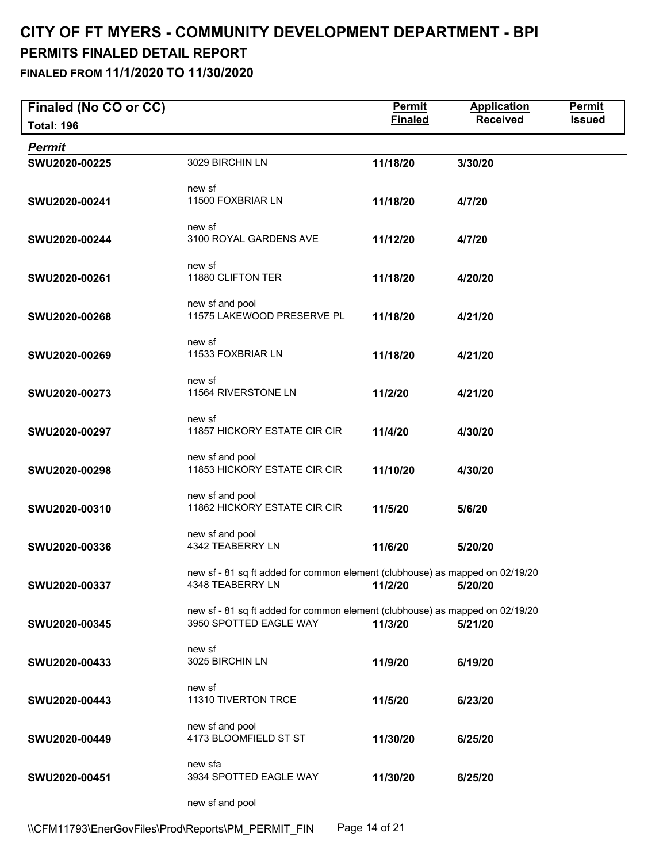| Finaled (No CO or CC) |                                                                                                                  | <b>Permit</b>  | <b>Application</b> | Permit        |
|-----------------------|------------------------------------------------------------------------------------------------------------------|----------------|--------------------|---------------|
| <b>Total: 196</b>     |                                                                                                                  | <b>Finaled</b> | <b>Received</b>    | <b>Issued</b> |
| Permit                |                                                                                                                  |                |                    |               |
| SWU2020-00225         | 3029 BIRCHIN LN                                                                                                  | 11/18/20       | 3/30/20            |               |
| SWU2020-00241         | new sf<br>11500 FOXBRIAR LN                                                                                      | 11/18/20       | 4/7/20             |               |
| SWU2020-00244         | new sf<br>3100 ROYAL GARDENS AVE                                                                                 | 11/12/20       | 4/7/20             |               |
| SWU2020-00261         | new sf<br>11880 CLIFTON TER                                                                                      | 11/18/20       | 4/20/20            |               |
| SWU2020-00268         | new sf and pool<br>11575 LAKEWOOD PRESERVE PL                                                                    | 11/18/20       | 4/21/20            |               |
| SWU2020-00269         | new sf<br>11533 FOXBRIAR LN                                                                                      | 11/18/20       | 4/21/20            |               |
| SWU2020-00273         | new sf<br>11564 RIVERSTONE LN                                                                                    | 11/2/20        | 4/21/20            |               |
| SWU2020-00297         | new sf<br>11857 HICKORY ESTATE CIR CIR                                                                           | 11/4/20        | 4/30/20            |               |
| SWU2020-00298         | new sf and pool<br>11853 HICKORY ESTATE CIR CIR                                                                  | 11/10/20       | 4/30/20            |               |
| SWU2020-00310         | new sf and pool<br>11862 HICKORY ESTATE CIR CIR                                                                  | 11/5/20        | 5/6/20             |               |
| SWU2020-00336         | new sf and pool<br>4342 TEABERRY LN                                                                              | 11/6/20        | 5/20/20            |               |
| SWU2020-00337         | new sf - 81 sq ft added for common element (clubhouse) as mapped on 02/19/20<br>4348 TEABERRY LN 11/2/20 5/20/20 |                |                    |               |
| SWU2020-00345         | new sf - 81 sq ft added for common element (clubhouse) as mapped on 02/19/20<br>3950 SPOTTED EAGLE WAY           | 11/3/20        | 5/21/20            |               |
| SWU2020-00433         | new sf<br>3025 BIRCHIN LN                                                                                        | 11/9/20        | 6/19/20            |               |
| SWU2020-00443         | new sf<br>11310 TIVERTON TRCE                                                                                    | 11/5/20        | 6/23/20            |               |
| SWU2020-00449         | new sf and pool<br>4173 BLOOMFIELD ST ST                                                                         | 11/30/20       | 6/25/20            |               |
| SWU2020-00451         | new sfa<br>3934 SPOTTED EAGLE WAY                                                                                | 11/30/20       | 6/25/20            |               |
|                       | new sf and pool                                                                                                  |                |                    |               |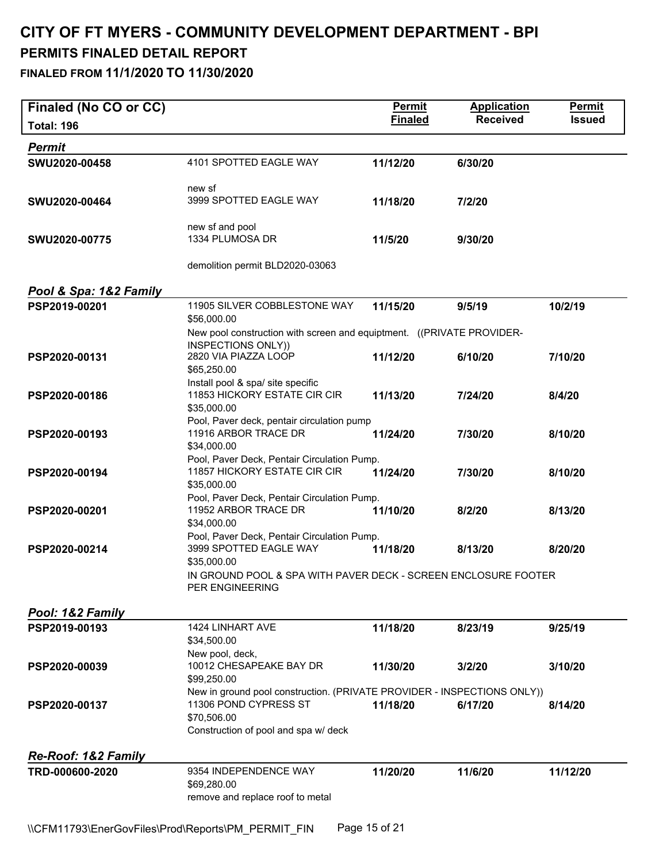**Finaled (No CO or CC)**<br> **Finaled** Permit Application Permit<br> **Finaled** Received Issued **Total: 196 Finaled Received Issued**  *Permit*  **SWU2020-00458** 4101 SPOTTED EAGLE WAY **11/12/20 6/30/20**  new sf **SWU2020-00464** 3999 SPOTTED EAGLE WAY **11/18/20 7/2/20**  new sf and pool **SWU2020-00775** 1334 PLUMOSA DR **11/5/20 9/30/20**  demolition permit BLD2020-03063 *Pool & Spa: 1&2 Family*  **PSP2019-00201** 11905 SILVER COBBLESTONE WAY **11/15/20 9/5/19 10/2/19**  \$56,000.00 New pool construction with screen and equiptment. ((PRIVATE PROVIDER-INSPECTIONS ONLY)) **PSP2020-00131** 2820 VIA PIAZZA LOOP **11/12/20 6/10/20 7/10/20**  \$65,250.00 Install pool & spa/ site specific **PSP2020-00186** 11853 HICKORY ESTATE CIR CIR **11/13/20 7/24/20 8/4/20**  \$35,000.00 Pool, Paver deck, pentair circulation pump **PSP2020-00193** 11916 ARBOR TRACE DR **11/24/20 7/30/20 8/10/20**  \$34,000.00 Pool, Paver Deck, Pentair Circulation Pump. **PSP2020-00194** 11857 HICKORY ESTATE CIR CIR **11/24/20 7/30/20 8/10/20**  \$35,000.00 Pool, Paver Deck, Pentair Circulation Pump. **PSP2020-00201** 11952 ARBOR TRACE DR **11/10/20 8/2/20 8/13/20**  \$34,000.00 Pool, Paver Deck, Pentair Circulation Pump. **PSP2020-00214** 3999 SPOTTED EAGLE WAY **11/18/20 8/13/20 8/20/20**  \$35,000.00 IN GROUND POOL & SPA WITH PAVER DECK - SCREEN ENCLOSURE FOOTER PER ENGINEERING *Pool: 1&2 Family*  **PSP2019-00193** 1424 LINHART AVE **11/18/20 8/23/19 9/25/19**  \$34,500.00 New pool, deck, **PSP2020-00039** 10012 CHESAPEAKE BAY DR **11/30/20 3/2/20 3/10/20**  \$99,250.00 New in ground pool construction. (PRIVATE PROVIDER - INSPECTIONS ONLY)) **PSP2020-00137** 11306 POND CYPRESS ST **11/18/20 6/17/20 8/14/20**  \$70,506.00 Construction of pool and spa w/ deck *Re-Roof: 1&2 Family*  **TRD-000600-2020** 9354 INDEPENDENCE WAY **11/20/20 11/6/20 11/12/20**  \$69,280.00 remove and replace roof to metal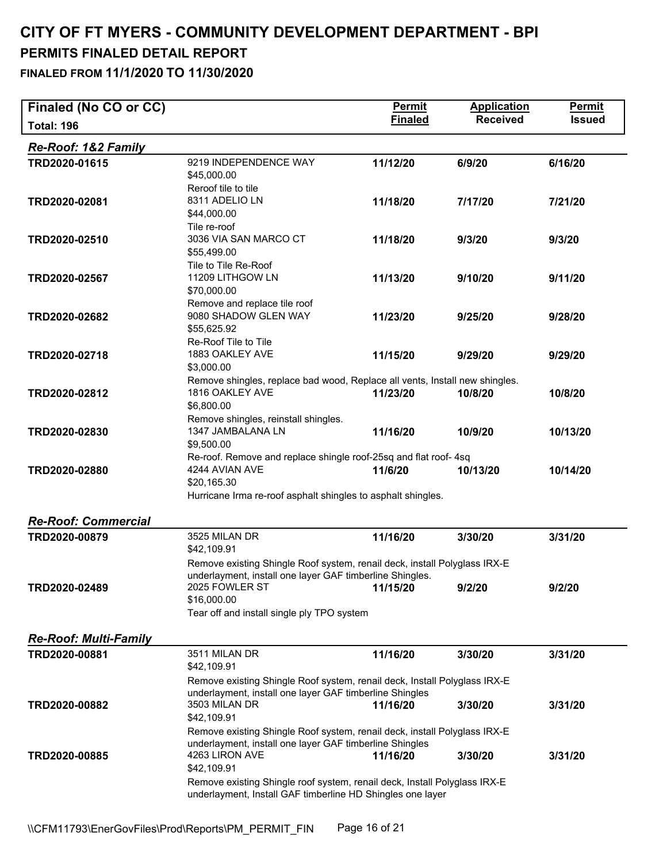| Finaled (No CO or CC)                         |                                                                                                                                                                       | <b>Permit</b>  | <b>Application</b> | <b>Permit</b> |
|-----------------------------------------------|-----------------------------------------------------------------------------------------------------------------------------------------------------------------------|----------------|--------------------|---------------|
| <b>Total: 196</b>                             |                                                                                                                                                                       | <b>Finaled</b> | <b>Received</b>    | <b>Issued</b> |
| <b>Re-Roof: 1&amp;2 Family</b>                |                                                                                                                                                                       |                |                    |               |
| TRD2020-01615                                 | 9219 INDEPENDENCE WAY<br>\$45,000.00<br>Reroof tile to tile                                                                                                           | 11/12/20       | 6/9/20             | 6/16/20       |
| TRD2020-02081                                 | 8311 ADELIO LN<br>\$44,000.00<br>Tile re-roof                                                                                                                         | 11/18/20       | 7/17/20            | 7/21/20       |
| TRD2020-02510                                 | 3036 VIA SAN MARCO CT<br>\$55,499.00<br>Tile to Tile Re-Roof                                                                                                          | 11/18/20       | 9/3/20             | 9/3/20        |
| TRD2020-02567                                 | 11209 LITHGOW LN<br>\$70,000.00<br>Remove and replace tile roof                                                                                                       | 11/13/20       | 9/10/20            | 9/11/20       |
| TRD2020-02682                                 | 9080 SHADOW GLEN WAY<br>\$55,625.92<br>Re-Roof Tile to Tile                                                                                                           | 11/23/20       | 9/25/20            | 9/28/20       |
| TRD2020-02718                                 | 1883 OAKLEY AVE<br>\$3,000.00                                                                                                                                         | 11/15/20       | 9/29/20            | 9/29/20       |
| TRD2020-02812                                 | Remove shingles, replace bad wood, Replace all vents, Install new shingles.<br>1816 OAKLEY AVE<br>\$6,800.00<br>Remove shingles, reinstall shingles.                  | 11/23/20       | 10/8/20            | 10/8/20       |
| TRD2020-02830                                 | 1347 JAMBALANA LN<br>\$9,500.00<br>Re-roof. Remove and replace shingle roof-25sq and flat roof-4sq                                                                    | 11/16/20       | 10/9/20            | 10/13/20      |
| TRD2020-02880                                 | 4244 AVIAN AVE<br>\$20,165.30<br>Hurricane Irma re-roof asphalt shingles to asphalt shingles.                                                                         | 11/6/20        | 10/13/20           | 10/14/20      |
| <b>Re-Roof: Commercial</b>                    |                                                                                                                                                                       |                |                    |               |
| TRD2020-00879                                 | 3525 MILAN DR<br>\$42,109.91                                                                                                                                          | 11/16/20       | 3/30/20            | 3/31/20       |
|                                               | Remove existing Shingle Roof system, renail deck, install Polyglass IRX-E<br>underlayment, install one layer GAF timberline Shingles.<br>2025 FOWLER ST 11/15/20      |                |                    |               |
| TRD2020-02489                                 | \$16,000.00<br>Tear off and install single ply TPO system                                                                                                             |                | 9/2/20             | 9/2/20        |
|                                               |                                                                                                                                                                       |                |                    |               |
| <b>Re-Roof: Multi-Family</b><br>TRD2020-00881 | 3511 MILAN DR<br>\$42,109.91                                                                                                                                          | 11/16/20       | 3/30/20            | 3/31/20       |
| TRD2020-00882                                 | Remove existing Shingle Roof system, renail deck, Install Polyglass IRX-E<br>underlayment, install one layer GAF timberline Shingles<br>3503 MILAN DR<br>\$42,109.91  | 11/16/20       | 3/30/20            | 3/31/20       |
| TRD2020-00885                                 | Remove existing Shingle Roof system, renail deck, install Polyglass IRX-E<br>underlayment, install one layer GAF timberline Shingles<br>4263 LIRON AVE<br>\$42,109.91 | 11/16/20       | 3/30/20            | 3/31/20       |
|                                               | Remove existing Shingle roof system, renail deck, Install Polyglass IRX-E<br>underlayment, Install GAF timberline HD Shingles one layer                               |                |                    |               |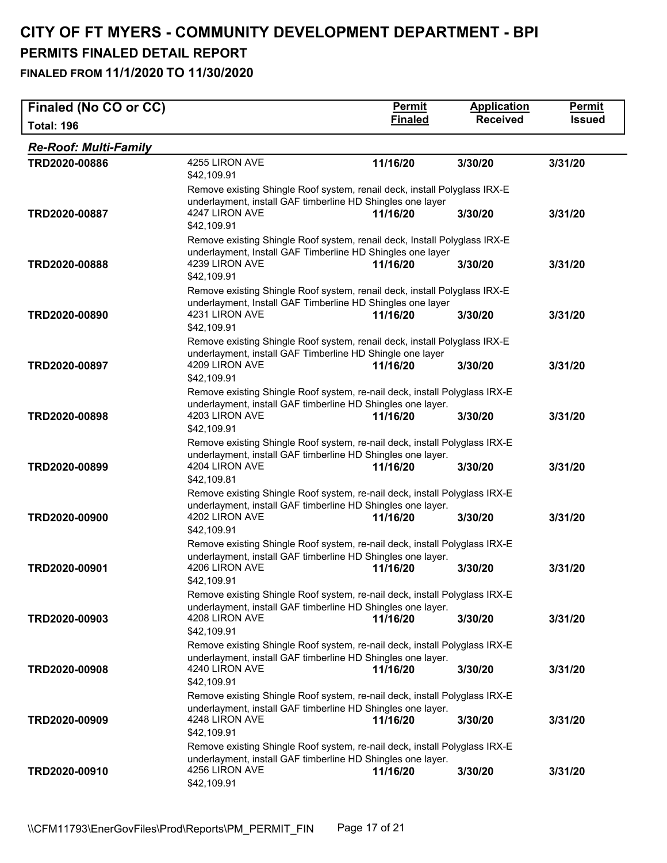| Finaled (No CO or CC)        |                                                                                                                                                                            | <b>Permit</b>  | <b>Application</b> | <b>Permit</b> |
|------------------------------|----------------------------------------------------------------------------------------------------------------------------------------------------------------------------|----------------|--------------------|---------------|
| <b>Total: 196</b>            |                                                                                                                                                                            | <b>Finaled</b> | <b>Received</b>    | <b>Issued</b> |
| <b>Re-Roof: Multi-Family</b> |                                                                                                                                                                            |                |                    |               |
| TRD2020-00886                | 4255 LIRON AVE<br>\$42,109.91                                                                                                                                              | 11/16/20       | 3/30/20            | 3/31/20       |
| TRD2020-00887                | Remove existing Shingle Roof system, renail deck, install Polyglass IRX-E<br>underlayment, install GAF timberline HD Shingles one layer<br>4247 LIRON AVE<br>\$42,109.91   | 11/16/20       | 3/30/20            | 3/31/20       |
| TRD2020-00888                | Remove existing Shingle Roof system, renail deck, Install Polyglass IRX-E<br>underlayment, Install GAF Timberline HD Shingles one layer<br>4239 LIRON AVE<br>\$42,109.91   | 11/16/20       | 3/30/20            | 3/31/20       |
| TRD2020-00890                | Remove existing Shingle Roof system, renail deck, install Polyglass IRX-E<br>underlayment, Install GAF Timberline HD Shingles one layer<br>4231 LIRON AVE<br>\$42,109.91   | 11/16/20       | 3/30/20            | 3/31/20       |
| TRD2020-00897                | Remove existing Shingle Roof system, renail deck, install Polyglass IRX-E<br>underlayment, install GAF Timberline HD Shingle one layer<br>4209 LIRON AVE<br>\$42,109.91    | 11/16/20       | 3/30/20            | 3/31/20       |
| TRD2020-00898                | Remove existing Shingle Roof system, re-nail deck, install Polyglass IRX-E<br>underlayment, install GAF timberline HD Shingles one layer.<br>4203 LIRON AVE<br>\$42,109.91 | 11/16/20       | 3/30/20            | 3/31/20       |
| TRD2020-00899                | Remove existing Shingle Roof system, re-nail deck, install Polyglass IRX-E<br>underlayment, install GAF timberline HD Shingles one layer.<br>4204 LIRON AVE<br>\$42,109.81 | 11/16/20       | 3/30/20            | 3/31/20       |
| TRD2020-00900                | Remove existing Shingle Roof system, re-nail deck, install Polyglass IRX-E<br>underlayment, install GAF timberline HD Shingles one layer.<br>4202 LIRON AVE<br>\$42,109.91 | 11/16/20       | 3/30/20            | 3/31/20       |
| TRD2020-00901                | Remove existing Shingle Roof system, re-nail deck, install Polyglass IRX-E<br>underlayment, install GAF timberline HD Shingles one layer.<br>4206 LIRON AVE<br>\$42,109.91 | 11/16/20       | 3/30/20            | 3/31/20       |
| TRD2020-00903                | Remove existing Shingle Roof system, re-nail deck, install Polyglass IRX-E<br>underlayment, install GAF timberline HD Shingles one layer.<br>4208 LIRON AVE<br>\$42,109.91 | 11/16/20       | 3/30/20            | 3/31/20       |
| TRD2020-00908                | Remove existing Shingle Roof system, re-nail deck, install Polyglass IRX-E<br>underlayment, install GAF timberline HD Shingles one layer.<br>4240 LIRON AVE<br>\$42,109.91 | 11/16/20       | 3/30/20            | 3/31/20       |
| TRD2020-00909                | Remove existing Shingle Roof system, re-nail deck, install Polyglass IRX-E<br>underlayment, install GAF timberline HD Shingles one layer.<br>4248 LIRON AVE<br>\$42,109.91 | 11/16/20       | 3/30/20            | 3/31/20       |
| TRD2020-00910                | Remove existing Shingle Roof system, re-nail deck, install Polyglass IRX-E<br>underlayment, install GAF timberline HD Shingles one layer.<br>4256 LIRON AVE<br>\$42,109.91 | 11/16/20       | 3/30/20            | 3/31/20       |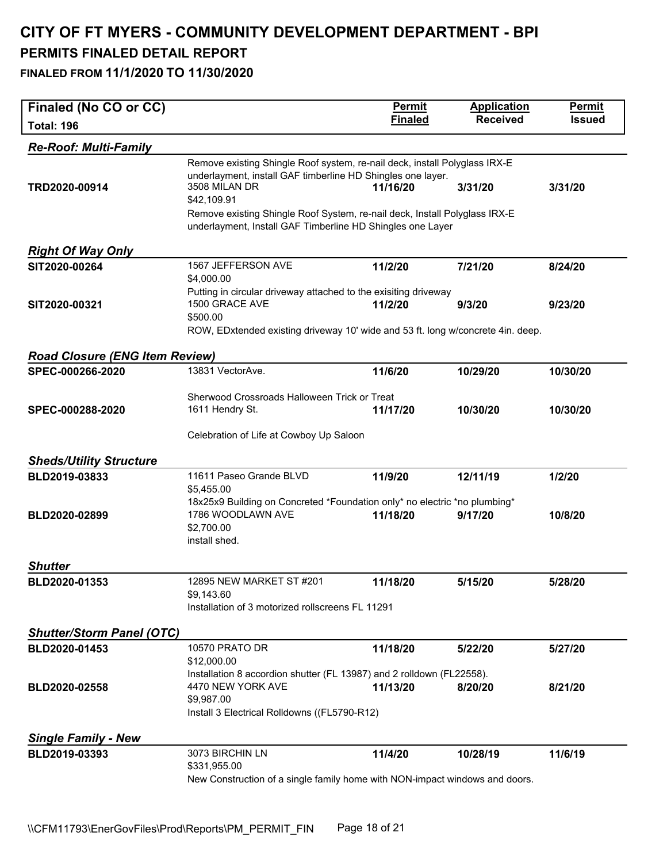| Finaled (No CO or CC)                 |                                                                                                                                                                                                                                                                                                                       | <b>Permit</b>  | <b>Application</b> | <b>Permit</b> |  |
|---------------------------------------|-----------------------------------------------------------------------------------------------------------------------------------------------------------------------------------------------------------------------------------------------------------------------------------------------------------------------|----------------|--------------------|---------------|--|
| <b>Total: 196</b>                     |                                                                                                                                                                                                                                                                                                                       | <b>Finaled</b> | <b>Received</b>    | <b>Issued</b> |  |
| <b>Re-Roof: Multi-Family</b>          |                                                                                                                                                                                                                                                                                                                       |                |                    |               |  |
| TRD2020-00914                         | Remove existing Shingle Roof system, re-nail deck, install Polyglass IRX-E<br>underlayment, install GAF timberline HD Shingles one layer.<br>3508 MILAN DR<br>\$42,109.91<br>Remove existing Shingle Roof System, re-nail deck, Install Polyglass IRX-E<br>underlayment, Install GAF Timberline HD Shingles one Layer | 11/16/20       | 3/31/20            | 3/31/20       |  |
|                                       |                                                                                                                                                                                                                                                                                                                       |                |                    |               |  |
| <b>Right Of Way Only</b>              | 1567 JEFFERSON AVE                                                                                                                                                                                                                                                                                                    |                |                    |               |  |
| SIT2020-00264                         | \$4,000.00                                                                                                                                                                                                                                                                                                            | 11/2/20        | 7/21/20            | 8/24/20       |  |
| SIT2020-00321                         | Putting in circular driveway attached to the exisiting driveway<br>1500 GRACE AVE<br>\$500.00<br>ROW, EDxtended existing driveway 10' wide and 53 ft. long w/concrete 4in. deep.                                                                                                                                      | 11/2/20        | 9/3/20             | 9/23/20       |  |
| <b>Road Closure (ENG Item Review)</b> |                                                                                                                                                                                                                                                                                                                       |                |                    |               |  |
| SPEC-000266-2020                      | 13831 VectorAve.                                                                                                                                                                                                                                                                                                      | 11/6/20        | 10/29/20           | 10/30/20      |  |
|                                       |                                                                                                                                                                                                                                                                                                                       |                |                    |               |  |
| SPEC-000288-2020                      | Sherwood Crossroads Halloween Trick or Treat<br>1611 Hendry St.                                                                                                                                                                                                                                                       | 11/17/20       | 10/30/20           | 10/30/20      |  |
|                                       |                                                                                                                                                                                                                                                                                                                       |                |                    |               |  |
|                                       | Celebration of Life at Cowboy Up Saloon                                                                                                                                                                                                                                                                               |                |                    |               |  |
| <b>Sheds/Utility Structure</b>        |                                                                                                                                                                                                                                                                                                                       |                |                    |               |  |
| BLD2019-03833                         | 11611 Paseo Grande BLVD                                                                                                                                                                                                                                                                                               | 11/9/20        | 12/11/19           | 1/2/20        |  |
|                                       | \$5,455.00                                                                                                                                                                                                                                                                                                            |                |                    |               |  |
| BLD2020-02899                         | 18x25x9 Building on Concreted *Foundation only* no electric *no plumbing*<br>1786 WOODLAWN AVE<br>\$2,700.00<br>install shed.                                                                                                                                                                                         | 11/18/20       | 9/17/20            | 10/8/20       |  |
| <b>Shutter</b>                        |                                                                                                                                                                                                                                                                                                                       |                |                    |               |  |
| BLD2020-01353                         | 12895 NEW MARKET ST #201<br>\$9,143.60<br>Installation of 3 motorized rollscreens FL 11291                                                                                                                                                                                                                            | 11/18/20       | 5/15/20            | 5/28/20       |  |
|                                       |                                                                                                                                                                                                                                                                                                                       |                |                    |               |  |
| <b>Shutter/Storm Panel (OTC)</b>      | 10570 PRATO DR                                                                                                                                                                                                                                                                                                        |                |                    |               |  |
| BLD2020-01453                         | \$12,000.00                                                                                                                                                                                                                                                                                                           | 11/18/20       | 5/22/20            | 5/27/20       |  |
| BLD2020-02558                         | Installation 8 accordion shutter (FL 13987) and 2 rolldown (FL22558).<br>4470 NEW YORK AVE<br>\$9,987.00<br>Install 3 Electrical Rolldowns ((FL5790-R12)                                                                                                                                                              | 11/13/20       | 8/20/20            | 8/21/20       |  |
| <b>Single Family - New</b>            |                                                                                                                                                                                                                                                                                                                       |                |                    |               |  |
| BLD2019-03393                         | 3073 BIRCHIN LN                                                                                                                                                                                                                                                                                                       | 11/4/20        | 10/28/19           | 11/6/19       |  |
|                                       | \$331,955.00<br>New Construction of a single family home with NON-impact windows and doors.                                                                                                                                                                                                                           |                |                    |               |  |
|                                       |                                                                                                                                                                                                                                                                                                                       |                |                    |               |  |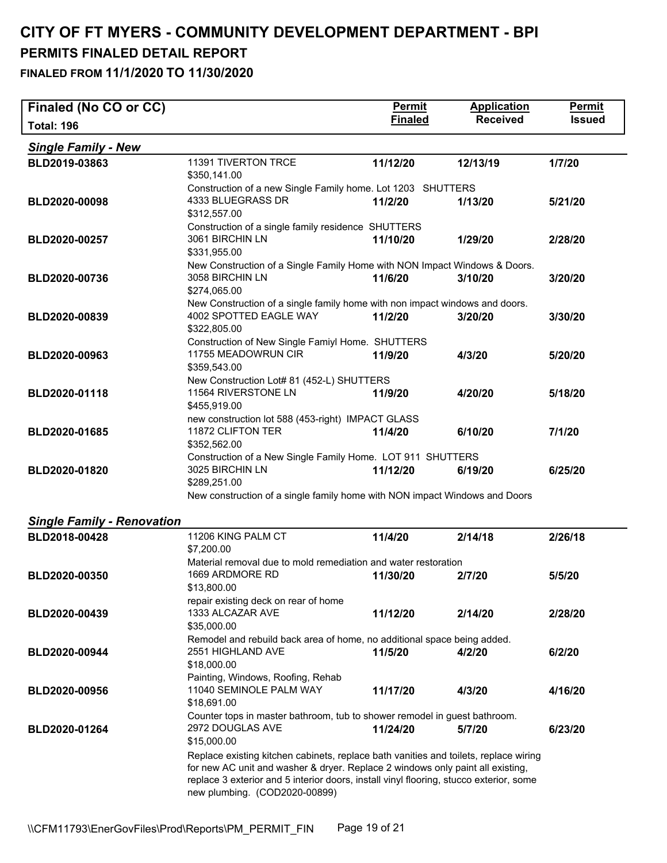| Finaled (No CO or CC)             |                                                                                                                                                                                                                                                                                                   | <b>Permit</b>  | <b>Application</b> | <b>Permit</b> |  |
|-----------------------------------|---------------------------------------------------------------------------------------------------------------------------------------------------------------------------------------------------------------------------------------------------------------------------------------------------|----------------|--------------------|---------------|--|
| <b>Total: 196</b>                 |                                                                                                                                                                                                                                                                                                   | <b>Finaled</b> | <b>Received</b>    | <b>Issued</b> |  |
| <b>Single Family - New</b>        |                                                                                                                                                                                                                                                                                                   |                |                    |               |  |
| BLD2019-03863                     | <b>11391 TIVERTON TRCE</b><br>\$350,141.00                                                                                                                                                                                                                                                        | 11/12/20       | 12/13/19           | 1/7/20        |  |
| BLD2020-00098                     | Construction of a new Single Family home. Lot 1203 SHUTTERS<br>4333 BLUEGRASS DR<br>\$312,557.00                                                                                                                                                                                                  | 11/2/20        | 1/13/20            | 5/21/20       |  |
| BLD2020-00257                     | Construction of a single family residence SHUTTERS<br>3061 BIRCHIN LN<br>\$331,955.00                                                                                                                                                                                                             | 11/10/20       | 1/29/20            | 2/28/20       |  |
| BLD2020-00736                     | New Construction of a Single Family Home with NON Impact Windows & Doors.<br>3058 BIRCHIN LN<br>\$274,065.00                                                                                                                                                                                      | 11/6/20        | 3/10/20            | 3/20/20       |  |
| BLD2020-00839                     | New Construction of a single family home with non impact windows and doors.<br>4002 SPOTTED EAGLE WAY<br>\$322,805.00                                                                                                                                                                             | 11/2/20        | 3/20/20            | 3/30/20       |  |
| BLD2020-00963                     | Construction of New Single Famiyl Home. SHUTTERS<br>11755 MEADOWRUN CIR<br>\$359,543.00                                                                                                                                                                                                           | 11/9/20        | 4/3/20             | 5/20/20       |  |
| BLD2020-01118                     | New Construction Lot# 81 (452-L) SHUTTERS<br>11564 RIVERSTONE LN<br>\$455,919.00                                                                                                                                                                                                                  | 11/9/20        | 4/20/20            | 5/18/20       |  |
| BLD2020-01685                     | new construction lot 588 (453-right) IMPACT GLASS<br>11872 CLIFTON TER<br>\$352,562.00                                                                                                                                                                                                            | 11/4/20        | 6/10/20            | 7/1/20        |  |
| BLD2020-01820                     | Construction of a New Single Family Home. LOT 911 SHUTTERS<br>3025 BIRCHIN LN<br>\$289,251.00                                                                                                                                                                                                     | 11/12/20       | 6/19/20            | 6/25/20       |  |
|                                   | New construction of a single family home with NON impact Windows and Doors                                                                                                                                                                                                                        |                |                    |               |  |
| <b>Single Family - Renovation</b> |                                                                                                                                                                                                                                                                                                   |                |                    |               |  |
| BLD2018-00428                     | 11206 KING PALM CT                                                                                                                                                                                                                                                                                | 11/4/20        | 2/14/18            | 2/26/18       |  |
|                                   | \$7,200.00<br>Material removal due to mold remediation and water restoration                                                                                                                                                                                                                      |                |                    |               |  |
| BLD2020-00350                     | 1669 ARDMORE RD<br>\$13,800.00                                                                                                                                                                                                                                                                    | 11/30/20       | 2/7/20             | 5/5/20        |  |
| BLD2020-00439                     | repair existing deck on rear of home<br>1333 ALCAZAR AVE<br>\$35,000.00                                                                                                                                                                                                                           | 11/12/20       | 2/14/20            | 2/28/20       |  |
| BLD2020-00944                     | Remodel and rebuild back area of home, no additional space being added.<br>2551 HIGHLAND AVE<br>\$18,000.00                                                                                                                                                                                       | 11/5/20        | 4/2/20             | 6/2/20        |  |
| BLD2020-00956                     | Painting, Windows, Roofing, Rehab<br>11040 SEMINOLE PALM WAY<br>\$18,691.00                                                                                                                                                                                                                       | 11/17/20       | 4/3/20             | 4/16/20       |  |
| BLD2020-01264                     | Counter tops in master bathroom, tub to shower remodel in guest bathroom.<br>2972 DOUGLAS AVE<br>\$15,000.00                                                                                                                                                                                      | 11/24/20       | 5/7/20             | 6/23/20       |  |
|                                   | Replace existing kitchen cabinets, replace bath vanities and toilets, replace wiring<br>for new AC unit and washer & dryer. Replace 2 windows only paint all existing,<br>replace 3 exterior and 5 interior doors, install vinyl flooring, stucco exterior, some<br>new plumbing. (COD2020-00899) |                |                    |               |  |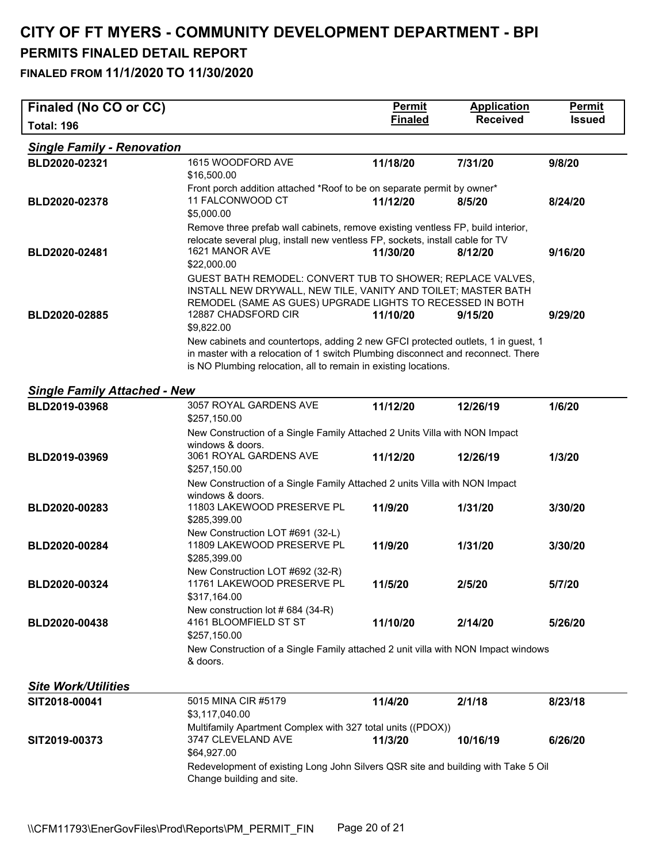| Finaled (No CO or CC)               |                                                                                                                                                                                                                                         | <b>Permit</b>  | <b>Application</b> | <b>Permit</b> |  |  |
|-------------------------------------|-----------------------------------------------------------------------------------------------------------------------------------------------------------------------------------------------------------------------------------------|----------------|--------------------|---------------|--|--|
| <b>Total: 196</b>                   |                                                                                                                                                                                                                                         | <b>Finaled</b> | <b>Received</b>    | <b>Issued</b> |  |  |
| <b>Single Family - Renovation</b>   |                                                                                                                                                                                                                                         |                |                    |               |  |  |
| BLD2020-02321                       | 1615 WOODFORD AVE                                                                                                                                                                                                                       | 11/18/20       | 7/31/20            | 9/8/20        |  |  |
|                                     | \$16,500.00<br>Front porch addition attached *Roof to be on separate permit by owner*                                                                                                                                                   |                |                    |               |  |  |
| BLD2020-02378                       | 11 FALCONWOOD CT<br>\$5,000.00                                                                                                                                                                                                          | 11/12/20       | 8/5/20             | 8/24/20       |  |  |
|                                     | Remove three prefab wall cabinets, remove existing ventless FP, build interior,                                                                                                                                                         |                |                    |               |  |  |
| BLD2020-02481                       | relocate several plug, install new ventless FP, sockets, install cable for TV<br>1621 MANOR AVE                                                                                                                                         | 11/30/20       | 8/12/20            | 9/16/20       |  |  |
|                                     | \$22,000.00<br>GUEST BATH REMODEL: CONVERT TUB TO SHOWER; REPLACE VALVES,<br>INSTALL NEW DRYWALL, NEW TILE, VANITY AND TOILET; MASTER BATH<br>REMODEL (SAME AS GUES) UPGRADE LIGHTS TO RECESSED IN BOTH                                 |                |                    |               |  |  |
| BLD2020-02885                       | 12887 CHADSFORD CIR<br>\$9,822.00                                                                                                                                                                                                       | 11/10/20       | 9/15/20            | 9/29/20       |  |  |
|                                     | New cabinets and countertops, adding 2 new GFCI protected outlets, 1 in guest, 1<br>in master with a relocation of 1 switch Plumbing disconnect and reconnect. There<br>is NO Plumbing relocation, all to remain in existing locations. |                |                    |               |  |  |
| <b>Single Family Attached - New</b> |                                                                                                                                                                                                                                         |                |                    |               |  |  |
| BLD2019-03968                       | 3057 ROYAL GARDENS AVE<br>\$257,150.00                                                                                                                                                                                                  | 11/12/20       | 12/26/19           | 1/6/20        |  |  |
|                                     | New Construction of a Single Family Attached 2 Units Villa with NON Impact                                                                                                                                                              |                |                    |               |  |  |
| BLD2019-03969                       | windows & doors.<br>3061 ROYAL GARDENS AVE<br>\$257,150.00                                                                                                                                                                              | 11/12/20       | 12/26/19           | 1/3/20        |  |  |
|                                     | New Construction of a Single Family Attached 2 units Villa with NON Impact<br>windows & doors.                                                                                                                                          |                |                    |               |  |  |
| BLD2020-00283                       | 11803 LAKEWOOD PRESERVE PL<br>\$285,399.00                                                                                                                                                                                              | 11/9/20        | 1/31/20            | 3/30/20       |  |  |
| BLD2020-00284                       | New Construction LOT #691 (32-L)<br>11809 LAKEWOOD PRESERVE PL<br>\$285,399.00                                                                                                                                                          | 11/9/20        | 1/31/20            | 3/30/20       |  |  |
| BLD2020-00324                       | New Construction LOT #692 (32-R)<br>11761 LAKEWOOD PRESERVE PL<br>\$317,164.00                                                                                                                                                          | 11/5/20        | 2/5/20             | 5/7/20        |  |  |
| BLD2020-00438                       | New construction lot #684 (34-R)<br>4161 BLOOMFIELD ST ST                                                                                                                                                                               | 11/10/20       | 2/14/20            | 5/26/20       |  |  |
|                                     | \$257,150.00<br>New Construction of a Single Family attached 2 unit villa with NON Impact windows<br>& doors.                                                                                                                           |                |                    |               |  |  |
| <b>Site Work/Utilities</b>          |                                                                                                                                                                                                                                         |                |                    |               |  |  |
| SIT2018-00041                       | 5015 MINA CIR #5179                                                                                                                                                                                                                     | 11/4/20        | 2/1/18             | 8/23/18       |  |  |
|                                     | \$3,117,040.00                                                                                                                                                                                                                          |                |                    |               |  |  |
| SIT2019-00373                       | Multifamily Apartment Complex with 327 total units ((PDOX))<br>3747 CLEVELAND AVE<br>\$64,927.00                                                                                                                                        | 11/3/20        | 10/16/19           | 6/26/20       |  |  |
|                                     | Redevelopment of existing Long John Silvers QSR site and building with Take 5 Oil<br>Change building and site.                                                                                                                          |                |                    |               |  |  |